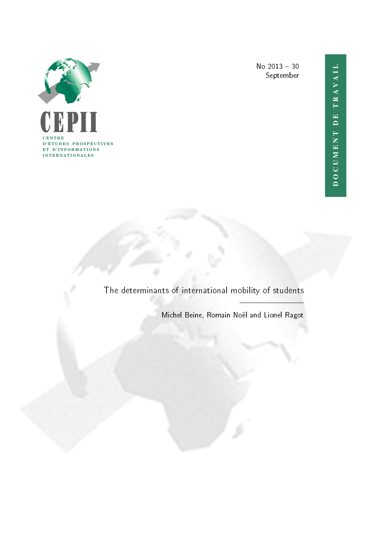<span id="page-0-0"></span>

 $No$  2013  $-30$ September

The determinants of international mobility of students

Michel Beine, Romain Noël and Lionel Ragot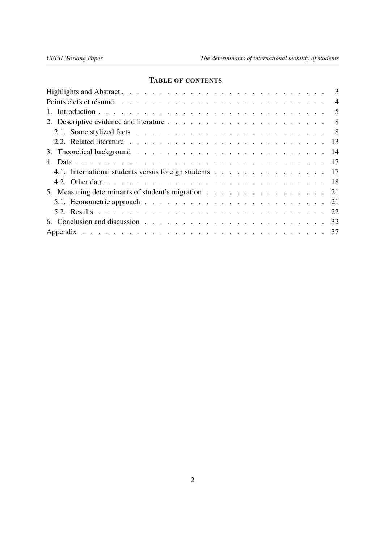# TABLE OF CONTENTS

|                                                        | $\overline{3}$ |
|--------------------------------------------------------|----------------|
|                                                        | $\overline{4}$ |
|                                                        | $5\phantom{0}$ |
|                                                        |                |
|                                                        |                |
|                                                        |                |
|                                                        |                |
|                                                        |                |
| 4.1. International students versus foreign students 17 |                |
|                                                        |                |
| 5. Measuring determinants of student's migration 21    |                |
|                                                        |                |
|                                                        |                |
|                                                        |                |
|                                                        |                |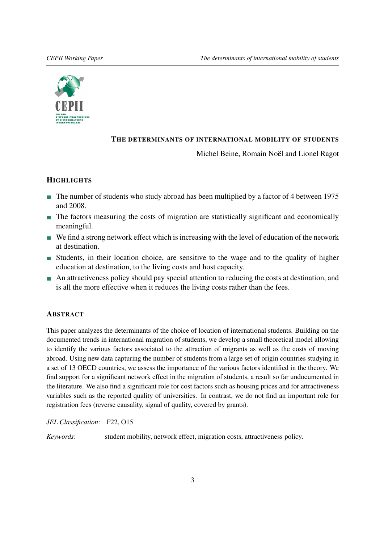<span id="page-2-0"></span>

## THE DETERMINANTS OF INTERNATIONAL MOBILITY OF STUDENTS

Michel Beine, Romain Noël and Lionel Ragot

# **HIGHLIGHTS**

- The number of students who study abroad has been multiplied by a factor of 4 between 1975 and 2008.
- The factors measuring the costs of migration are statistically significant and economically meaningful.
- $\blacksquare$  We find a strong network effect which is increasing with the level of education of the network at destination.
- Students, in their location choice, are sensitive to the wage and to the quality of higher education at destination, to the living costs and host capacity.
- An attractiveness policy should pay special attention to reducing the costs at destination, and is all the more effective when it reduces the living costs rather than the fees.

## **ABSTRACT**

This paper analyzes the determinants of the choice of location of international students. Building on the documented trends in international migration of students, we develop a small theoretical model allowing to identify the various factors associated to the attraction of migrants as well as the costs of moving abroad. Using new data capturing the number of students from a large set of origin countries studying in a set of 13 OECD countries, we assess the importance of the various factors identified in the theory. We find support for a significant network effect in the migration of students, a result so far undocumented in the literature. We also find a significant role for cost factors such as housing prices and for attractiveness variables such as the reported quality of universities. In contrast, we do not find an important role for registration fees (reverse causality, signal of quality, covered by grants).

*JEL Classification*: F22, O15

*Keywords*: student mobility, network effect, migration costs, attractiveness policy.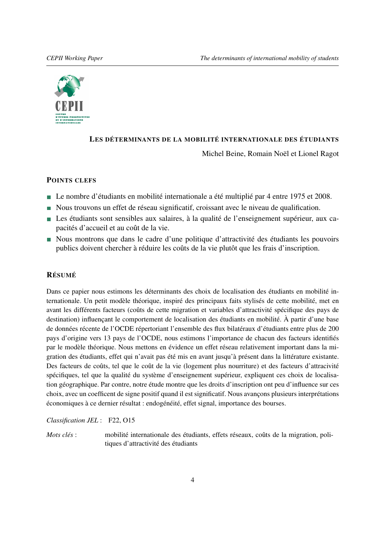<span id="page-3-0"></span>

## LES DÉTERMINANTS DE LA MOBILITÉ INTERNATIONALE DES ÉTUDIANTS

Michel Beine, Romain Noël et Lionel Ragot

# POINTS CLEFS

- Le nombre d'étudiants en mobilité internationale a été multiplié par 4 entre 1975 et 2008.
- Nous trouvons un effet de réseau significatif, croissant avec le niveau de qualification.
- Les étudiants sont sensibles aux salaires, à la qualité de l'enseignement supérieur, aux capacités d'accueil et au coût de la vie.
- Nous montrons que dans le cadre d'une politique d'attractivité des étudiants les pouvoirs publics doivent chercher à réduire les coûts de la vie plutôt que les frais d'inscription.

# RÉSUMÉ

Dans ce papier nous estimons les déterminants des choix de localisation des étudiants en mobilité internationale. Un petit modèle théorique, inspiré des principaux faits stylisés de cette mobilité, met en avant les différents facteurs (coûts de cette migration et variables d'attractivité spécifique des pays de destination) influençant le comportement de localisation des étudiants en mobilité. À partir d'une base de données récente de l'OCDE répertoriant l'ensemble des flux bilatéraux d'étudiants entre plus de 200 pays d'origine vers 13 pays de l'OCDE, nous estimons l'importance de chacun des facteurs identifiés par le modèle théorique. Nous mettons en évidence un effet réseau relativement important dans la migration des étudiants, effet qui n'avait pas été mis en avant jusqu'à présent dans la littérature existante. Des facteurs de coûts, tel que le coût de la vie (logement plus nourriture) et des facteurs d'attracivité spécifiques, tel que la qualité du système d'enseignement supérieur, expliquent ces choix de localisation géographique. Par contre, notre étude montre que les droits d'inscription ont peu d'influence sur ces choix, avec un coefficent de signe positif quand il est significatif. Nous avançons plusieurs interprétations économiques à ce dernier résultat : endogénéité, effet signal, importance des bourses.

*Classification JEL* : F22, O15

*Mots clés* : mobilité internationale des étudiants, effets réseaux, coûts de la migration, politiques d'attractivité des étudiants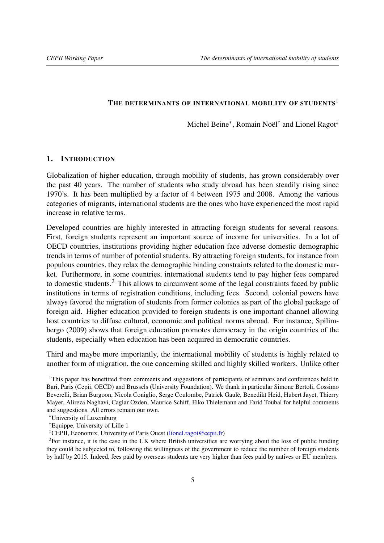## THE DETERMINANTS OF INTERNATIONAL MOBILITY OF STUDENTS<sup>[1](#page-0-0)</sup>

Michel Beine<sup>[∗](#page-0-0)</sup>, Romain Noël<sup>[†](#page-0-0)</sup> and Lionel Ragot<sup>[‡](#page-0-0)</sup>

## <span id="page-4-0"></span>1. INTRODUCTION

Globalization of higher education, through mobility of students, has grown considerably over the past 40 years. The number of students who study abroad has been steadily rising since 1970's. It has been multiplied by a factor of 4 between 1975 and 2008. Among the various categories of migrants, international students are the ones who have experienced the most rapid increase in relative terms.

Developed countries are highly interested in attracting foreign students for several reasons. First, foreign students represent an important source of income for universities. In a lot of OECD countries, institutions providing higher education face adverse domestic demographic trends in terms of number of potential students. By attracting foreign students, for instance from populous countries, they relax the demographic binding constraints related to the domestic market. Furthermore, in some countries, international students tend to pay higher fees compared to domestic students.[2](#page-0-0) This allows to circumvent some of the legal constraints faced by public institutions in terms of registration conditions, including fees. Second, colonial powers have always favored the migration of students from former colonies as part of the global package of foreign aid. Higher education provided to foreign students is one important channel allowing host countries to diffuse cultural, economic and political norms abroad. For instance, [Spilim](#page-35-0)[bergo](#page-35-0) [\(2009\)](#page-35-0) shows that foreign education promotes democracy in the origin countries of the students, especially when education has been acquired in democratic countries.

Third and maybe more importantly, the international mobility of students is highly related to another form of migration, the one concerning skilled and highly skilled workers. Unlike other

<sup>&</sup>lt;sup>1</sup>This paper has benefitted from comments and suggestions of participants of seminars and conferences held in Bari, Paris (Cepii, OECD) and Brussels (University Foundation). We thank in particular Simone Bertoli, Cossimo Beverelli, Brian Burgoon, Nicola Coniglio, Serge Coulombe, Patrick Gaulè, Benedikt Heid, Hubert Jayet, Thierry Mayer, Alireza Naghavi, Caglar Ozden, Maurice Schiff, Eiko Thielemann and Farid Toubal for helpful comments and suggestions. All errors remain our own.

<sup>∗</sup>University of Luxemburg

<sup>†</sup>Equippe, University of Lille 1

<sup>‡</sup>CEPII, Economix, University of Paris Ouest [\(lionel.ragot@cepii.fr\)](mailto:lionel.ragot@cepii.fr)

<sup>&</sup>lt;sup>2</sup>For instance, it is the case in the UK where British universities are worrying about the loss of public funding they could be subjected to, following the willingness of the government to reduce the number of foreign students by half by 2015. Indeed, fees paid by overseas students are very higher than fees paid by natives or EU members.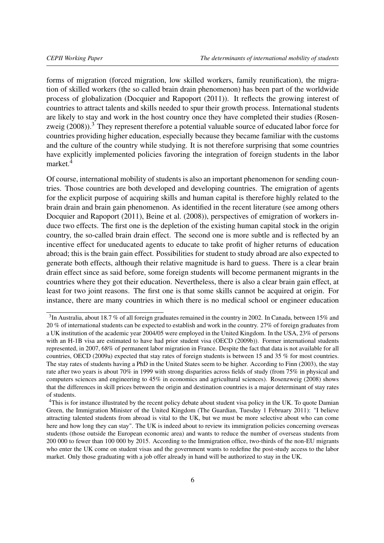forms of migration (forced migration, low skilled workers, family reunification), the migration of skilled workers (the so called brain drain phenomenon) has been part of the worldwide process of globalization [\(Docquier and Rapoport](#page-33-0) [\(2011\)](#page-33-0)). It reflects the growing interest of countries to attract talents and skills needed to spur their growth process. International students are likely to stay and work in the host country once they have completed their studies [\(Rosen](#page-35-1)[zweig](#page-35-1)  $(2008)$ ).<sup>[3](#page-0-0)</sup> They represent therefore a potential valuable source of educated labor force for countries providing higher education, especially because they became familiar with the customs and the culture of the country while studying. It is not therefore surprising that some countries have explicitly implemented policies favoring the integration of foreign students in the labor market.<sup>[4](#page-0-0)</sup>

Of course, international mobility of students is also an important phenomenon for sending countries. Those countries are both developed and developing countries. The emigration of agents for the explicit purpose of acquiring skills and human capital is therefore highly related to the brain drain and brain gain phenomenon. As identified in the recent literature (see among others [Docquier and Rapoport](#page-33-0) [\(2011\)](#page-33-0), [Beine et al.](#page-33-1) [\(2008\)](#page-33-1)), perspectives of emigration of workers induce two effects. The first one is the depletion of the existing human capital stock in the origin country, the so-called brain drain effect. The second one is more subtle and is reflected by an incentive effect for uneducated agents to educate to take profit of higher returns of education abroad; this is the brain gain effect. Possibilities for student to study abroad are also expected to generate both effects, although their relative magnitude is hard to guess. There is a clear brain drain effect since as said before, some foreign students will become permanent migrants in the countries where they got their education. Nevertheless, there is also a clear brain gain effect, at least for two joint reasons. The first one is that some skills cannot be acquired at origin. For instance, there are many countries in which there is no medical school or engineer education

 $3$ In Australia, about 18.7 % of all foreign graduates remained in the country in 2002. In Canada, between 15% and 20 % of international students can be expected to establish and work in the country. 27% of foreign graduates from a UK institution of the academic year 2004/05 were employed in the United Kingdom. In the USA, 23% of persons with an H-1B visa are estimated to have had prior student visa [\(OECD](#page-34-0) [\(2009b\)](#page-34-0)). Former international students represented, in 2007, 68% of permanent labor migration in France. Despite the fact that data is not available for all countries, [OECD](#page-34-1) [\(2009a\)](#page-34-1) expected that stay rates of foreign students is between 15 and 35 % for most countries. The stay rates of students having a PhD in the United States seem to be higher. According to [Finn](#page-33-2) [\(2003\)](#page-33-2), the stay rate after two years is about 70% in 1999 with strong disparities across fields of study (from 75% in physical and computers sciences and engineering to 45% in economics and agricultural sciences). [Rosenzweig](#page-35-1) [\(2008\)](#page-35-1) shows that the differences in skill prices between the origin and destination countries is a major determinant of stay rates of students.

<sup>&</sup>lt;sup>4</sup>This is for instance illustrated by the recent policy debate about student visa policy in the UK. To quote Damian Green, the Immigration Minister of the United Kingdom (The Guardian, Tuesday 1 February 2011): "I believe attracting talented students from abroad is vital to the UK, but we must be more selective about who can come here and how long they can stay". The UK is indeed about to review its immigration policies concerning overseas students (those outside the European economic area) and wants to reduce the number of overseas students from 200 000 to fewer than 100 000 by 2015. According to the Immigration office, two-thirds of the non-EU migrants who enter the UK come on student visas and the government wants to redefine the post-study access to the labor market. Only those graduating with a job offer already in hand will be authorized to stay in the UK.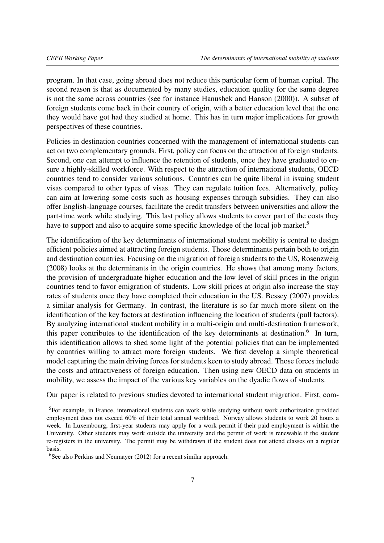program. In that case, going abroad does not reduce this particular form of human capital. The second reason is that as documented by many studies, education quality for the same degree is not the same across countries (see for instance [Hanushek and Hanson](#page-34-2) [\(2000\)](#page-34-2)). A subset of foreign students come back in their country of origin, with a better education level that the one they would have got had they studied at home. This has in turn major implications for growth perspectives of these countries.

Policies in destination countries concerned with the management of international students can act on two complementary grounds. First, policy can focus on the attraction of foreign students. Second, one can attempt to influence the retention of students, once they have graduated to ensure a highly-skilled workforce. With respect to the attraction of international students, OECD countries tend to consider various solutions. Countries can be quite liberal in issuing student visas compared to other types of visas. They can regulate tuition fees. Alternatively, policy can aim at lowering some costs such as housing expenses through subsidies. They can also offer English-language courses, facilitate the credit transfers between universities and allow the part-time work while studying. This last policy allows students to cover part of the costs they have to support and also to acquire some specific knowledge of the local job market.<sup>[5](#page-0-0)</sup>

The identification of the key determinants of international student mobility is central to design efficient policies aimed at attracting foreign students. Those determinants pertain both to origin and destination countries. Focusing on the migration of foreign students to the US, [Rosenzweig](#page-35-1) [\(2008\)](#page-35-1) looks at the determinants in the origin countries. He shows that among many factors, the provision of undergraduate higher education and the low level of skill prices in the origin countries tend to favor emigration of students. Low skill prices at origin also increase the stay rates of students once they have completed their education in the US. [Bessey](#page-33-3) [\(2007\)](#page-33-3) provides a similar analysis for Germany. In contrast, the literature is so far much more silent on the identification of the key factors at destination influencing the location of students (pull factors). By analyzing international student mobility in a multi-origin and multi-destination framework, this paper contributes to the identification of the key determinants at destination.<sup>[6](#page-0-0)</sup> In turn, this identification allows to shed some light of the potential policies that can be implemented by countries willing to attract more foreign students. We first develop a simple theoretical model capturing the main driving forces for students keen to study abroad. Those forces include the costs and attractiveness of foreign education. Then using new OECD data on students in mobility, we assess the impact of the various key variables on the dyadic flows of students.

Our paper is related to previous studies devoted to international student migration. First, com-

<sup>&</sup>lt;sup>5</sup>For example, in France, international students can work while studying without work authorization provided employment does not exceed 60% of their total annual workload. Norway allows students to work 20 hours a week. In Luxembourg, first-year students may apply for a work permit if their paid employment is within the University. Other students may work outside the university and the permit of work is renewable if the student re-registers in the university. The permit may be withdrawn if the student does not attend classes on a regular basis.

 $6$ See also [Perkins and Neumayer](#page-35-2) [\(2012\)](#page-35-2) for a recent similar approach.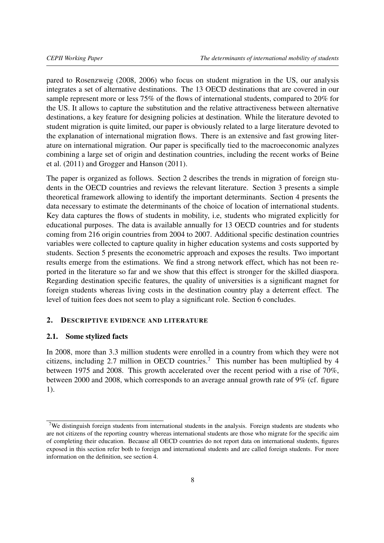pared to [Rosenzweig](#page-35-1) [\(2008,](#page-35-1) [2006\)](#page-35-3) who focus on student migration in the US, our analysis integrates a set of alternative destinations. The 13 OECD destinations that are covered in our sample represent more or less 75% of the flows of international students, compared to 20% for the US. It allows to capture the substitution and the relative attractiveness between alternative destinations, a key feature for designing policies at destination. While the literature devoted to student migration is quite limited, our paper is obviously related to a large literature devoted to the explanation of international migration flows. There is an extensive and fast growing literature on international migration. Our paper is specifically tied to the macroeconomic analyzes combining a large set of origin and destination countries, including the recent works of [Beine](#page-33-4) [et al.](#page-33-4) [\(2011\)](#page-33-4) and [Grogger and Hanson](#page-34-3) [\(2011\)](#page-34-3).

The paper is organized as follows. Section 2 describes the trends in migration of foreign students in the OECD countries and reviews the relevant literature. Section 3 presents a simple theoretical framework allowing to identify the important determinants. Section 4 presents the data necessary to estimate the determinants of the choice of location of international students. Key data captures the flows of students in mobility, i.e, students who migrated explicitly for educational purposes. The data is available annually for 13 OECD countries and for students coming from 216 origin countries from 2004 to 2007. Additional specific destination countries variables were collected to capture quality in higher education systems and costs supported by students. Section 5 presents the econometric approach and exposes the results. Two important results emerge from the estimations. We find a strong network effect, which has not been reported in the literature so far and we show that this effect is stronger for the skilled diaspora. Regarding destination specific features, the quality of universities is a significant magnet for foreign students whereas living costs in the destination country play a deterrent effect. The level of tuition fees does not seem to play a significant role. Section 6 concludes.

#### <span id="page-7-0"></span>2. DESCRIPTIVE EVIDENCE AND LITERATURE

#### <span id="page-7-1"></span>2.1. Some stylized facts

In 2008, more than 3.3 million students were enrolled in a country from which they were not citizens, including 2.[7](#page-0-0) million in OECD countries.<sup>7</sup> This number has been multiplied by 4 between 1975 and 2008. This growth accelerated over the recent period with a rise of 70%, between 2000 and 2008, which corresponds to an average annual growth rate of 9% (cf. figure [1\)](#page-8-0).

<sup>&</sup>lt;sup>7</sup>We distinguish foreign students from international students in the analysis. Foreign students are students who are not citizens of the reporting country whereas international students are those who migrate for the specific aim of completing their education. Because all OECD countries do not report data on international students, figures exposed in this section refer both to foreign and international students and are called foreign students. For more information on the definition, see section [4.](#page-16-0)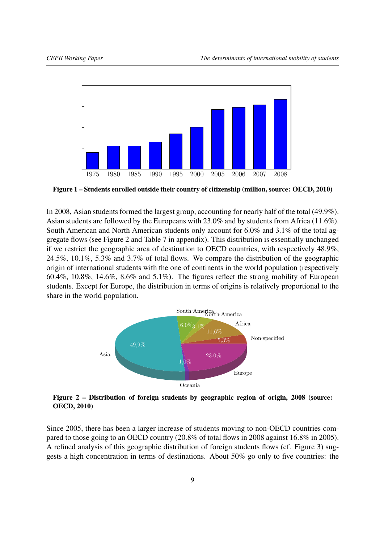<span id="page-8-0"></span>

Figure 1 – Students enrolled outside their country of citizenship (million, source: OECD, 2010)

In 2008, Asian students formed the largest group, accounting for nearly half of the total (49.9%). Asian students are followed by the Europeans with 23.0% and by students from Africa (11.6%). South American and North American students only account for 6.0% and 3.1% of the total aggregate flows (see Figure [2](#page-8-1) and Table [7](#page-37-0) in appendix). This distribution is essentially unchanged if we restrict the geographic area of destination to OECD countries, with respectively 48.9%, 24.5%, 10.1%, 5.3% and 3.7% of total flows. We compare the distribution of the geographic origin of international students with the one of continents in the world population (respectively 60.4%, 10.8%, 14.6%, 8.6% and 5.1%). The figures reflect the strong mobility of European students. Except for Europe, the distribution in terms of origins is relatively proportional to the share in the world population.

<span id="page-8-1"></span>

Figure 2 – Distribution of foreign students by geographic region of origin, 2008 (source: OECD, 2010)

Since 2005, there has been a larger increase of students moving to non-OECD countries compared to those going to an OECD country (20.8% of total flows in 2008 against 16.8% in 2005). A refined analysis of this geographic distribution of foreign students flows (cf. Figure [3\)](#page-9-0) suggests a high concentration in terms of destinations. About 50% go only to five countries: the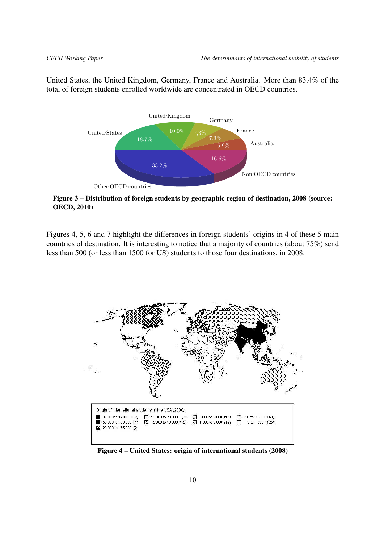<span id="page-9-0"></span>United States, the United Kingdom, Germany, France and Australia. More than 83.4% of the total of foreign students enrolled worldwide are concentrated in OECD countries.



Figure 3 – Distribution of foreign students by geographic region of destination, 2008 (source: OECD, 2010)

<span id="page-9-1"></span>Figures [4,](#page-9-1) [5,](#page-10-0) [6](#page-10-1) and [7](#page-11-0) highlight the differences in foreign students' origins in 4 of these 5 main countries of destination. It is interesting to notice that a majority of countries (about 75%) send less than 500 (or less than 1500 for US) students to those four destinations, in 2008.



Figure 4 – United States: origin of international students (2008)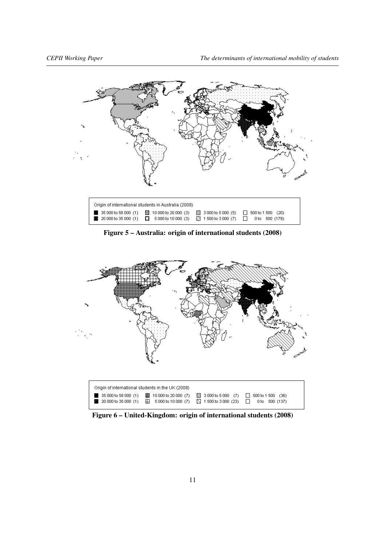<span id="page-10-0"></span>

Figure 5 – Australia: origin of international students (2008)

<span id="page-10-1"></span>

Figure 6 – United-Kingdom: origin of international students (2008)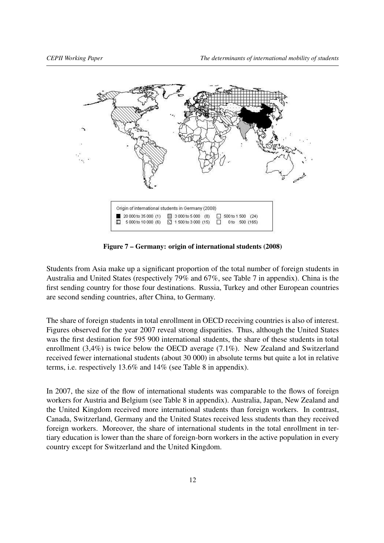<span id="page-11-0"></span>

Figure 7 – Germany: origin of international students (2008)

Students from Asia make up a significant proportion of the total number of foreign students in Australia and United States (respectively 79% and 67%, see Table [7](#page-37-0) in appendix). China is the first sending country for those four destinations. Russia, Turkey and other European countries are second sending countries, after China, to Germany.

The share of foreign students in total enrollment in OECD receiving countries is also of interest. Figures observed for the year 2007 reveal strong disparities. Thus, although the United States was the first destination for 595 900 international students, the share of these students in total enrollment (3,4%) is twice below the OECD average (7.1%). New Zealand and Switzerland received fewer international students (about 30 000) in absolute terms but quite a lot in relative terms, i.e. respectively 13.6% and 14% (see Table [8](#page-38-0) in appendix).

In 2007, the size of the flow of international students was comparable to the flows of foreign workers for Austria and Belgium (see Table [8](#page-38-0) in appendix). Australia, Japan, New Zealand and the United Kingdom received more international students than foreign workers. In contrast, Canada, Switzerland, Germany and the United States received less students than they received foreign workers. Moreover, the share of international students in the total enrollment in tertiary education is lower than the share of foreign-born workers in the active population in every country except for Switzerland and the United Kingdom.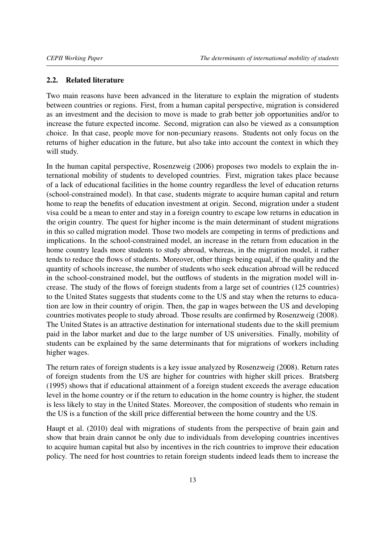## <span id="page-12-0"></span>2.2. Related literature

Two main reasons have been advanced in the literature to explain the migration of students between countries or regions. First, from a human capital perspective, migration is considered as an investment and the decision to move is made to grab better job opportunities and/or to increase the future expected income. Second, migration can also be viewed as a consumption choice. In that case, people move for non-pecuniary reasons. Students not only focus on the returns of higher education in the future, but also take into account the context in which they will study.

In the human capital perspective, [Rosenzweig](#page-35-3) [\(2006\)](#page-35-3) proposes two models to explain the international mobility of students to developed countries. First, migration takes place because of a lack of educational facilities in the home country regardless the level of education returns (school-constrained model). In that case, students migrate to acquire human capital and return home to reap the benefits of education investment at origin. Second, migration under a student visa could be a mean to enter and stay in a foreign country to escape low returns in education in the origin country. The quest for higher income is the main determinant of student migrations in this so called migration model. Those two models are competing in terms of predictions and implications. In the school-constrained model, an increase in the return from education in the home country leads more students to study abroad, whereas, in the migration model, it rather tends to reduce the flows of students. Moreover, other things being equal, if the quality and the quantity of schools increase, the number of students who seek education abroad will be reduced in the school-constrained model, but the outflows of students in the migration model will increase. The study of the flows of foreign students from a large set of countries (125 countries) to the United States suggests that students come to the US and stay when the returns to education are low in their country of origin. Then, the gap in wages between the US and developing countries motivates people to study abroad. Those results are confirmed by [Rosenzweig](#page-35-1) [\(2008\)](#page-35-1). The United States is an attractive destination for international students due to the skill premium paid in the labor market and due to the large number of US universities. Finally, mobility of students can be explained by the same determinants that for migrations of workers including higher wages.

The return rates of foreign students is a key issue analyzed by [Rosenzweig](#page-35-1) [\(2008\)](#page-35-1). Return rates of foreign students from the US are higher for countries with higher skill prices. [Bratsberg](#page-33-5) [\(1995\)](#page-33-5) shows that if educational attainment of a foreign student exceeds the average education level in the home country or if the return to education in the home country is higher, the student is less likely to stay in the United States. Moreover, the composition of students who remain in the US is a function of the skill price differential between the home country and the US.

[Haupt et al.](#page-34-4) [\(2010\)](#page-34-4) deal with migrations of students from the perspective of brain gain and show that brain drain cannot be only due to individuals from developing countries incentives to acquire human capital but also by incentives in the rich countries to improve their education policy. The need for host countries to retain foreign students indeed leads them to increase the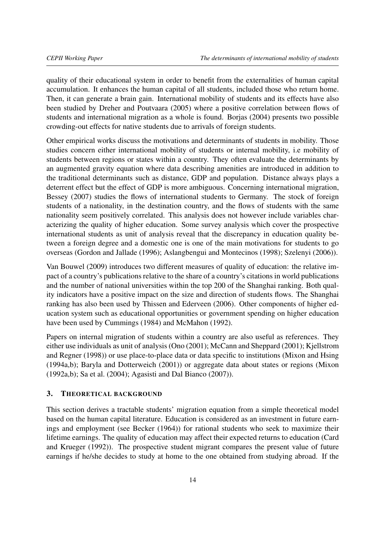quality of their educational system in order to benefit from the externalities of human capital accumulation. It enhances the human capital of all students, included those who return home. Then, it can generate a brain gain. International mobility of students and its effects have also been studied by [Dreher and Poutvaara](#page-33-6) [\(2005\)](#page-33-6) where a positive correlation between flows of students and international migration as a whole is found. [Borjas](#page-33-7) [\(2004\)](#page-33-7) presents two possible crowding-out effects for native students due to arrivals of foreign students.

Other empirical works discuss the motivations and determinants of students in mobility. Those studies concern either international mobility of students or internal mobility, i.e mobility of students between regions or states within a country. They often evaluate the determinants by an augmented gravity equation where data describing amenities are introduced in addition to the traditional determinants such as distance, GDP and population. Distance always plays a deterrent effect but the effect of GDP is more ambiguous. Concerning international migration, [Bessey](#page-33-3) [\(2007\)](#page-33-3) studies the flows of international students to Germany. The stock of foreign students of a nationality, in the destination country, and the flows of students with the same nationality seem positively correlated. This analysis does not however include variables characterizing the quality of higher education. Some survey analysis which cover the prospective international students as unit of analysis reveal that the discrepancy in education quality between a foreign degree and a domestic one is one of the main motivations for students to go overseas [\(Gordon and Jallade](#page-33-8) [\(1996\)](#page-33-8); [Aslangbengui and Montecinos](#page-33-9) [\(1998\)](#page-33-9); [Szelenyi](#page-35-4) [\(2006\)](#page-35-4)).

[Van Bouwel](#page-35-5) [\(2009\)](#page-35-5) introduces two different measures of quality of education: the relative impact of a country's publications relative to the share of a country's citations in world publications and the number of national universities within the top 200 of the Shanghai ranking. Both quality indicators have a positive impact on the size and direction of students flows. The Shanghai ranking has also been used by [Thissen and Ederveen](#page-35-6) [\(2006\)](#page-35-6). Other components of higher education system such as educational opportunities or government spending on higher education have been used by [Cummings](#page-33-10) [\(1984\)](#page-33-10) and [McMahon](#page-34-5) [\(1992\)](#page-34-5).

Papers on internal migration of students within a country are also useful as references. They either use individuals as unit of analysis [\(Ono](#page-34-6) [\(2001\)](#page-34-6); [McCann and Sheppard](#page-34-7) [\(2001\)](#page-34-7); [Kjellstrom](#page-34-8) [and Regner](#page-34-8) [\(1998\)](#page-34-8)) or use place-to-place data or data specific to institutions [\(Mixon and Hsing](#page-34-9) [\(1994a](#page-34-9)[,b\)](#page-34-10); [Baryla and Dotterweich](#page-33-11) [\(2001\)](#page-33-11)) or aggregate data about states or regions [\(Mixon](#page-34-11) [\(1992a](#page-34-11)[,b\)](#page-34-12); [Sa et al.](#page-35-7) [\(2004\)](#page-35-7); [Agasisti and Dal Bianco](#page-33-12) [\(2007\)](#page-33-12)).

## <span id="page-13-0"></span>3. THEORETICAL BACKGROUND

This section derives a tractable students' migration equation from a simple theoretical model based on the human capital literature. Education is considered as an investment in future earnings and employment (see [Becker](#page-33-13) [\(1964\)](#page-33-13)) for rational students who seek to maximize their lifetime earnings. The quality of education may affect their expected returns to education [\(Card](#page-33-14) [and Krueger](#page-33-14) [\(1992\)](#page-33-14)). The prospective student migrant compares the present value of future earnings if he/she decides to study at home to the one obtained from studying abroad. If the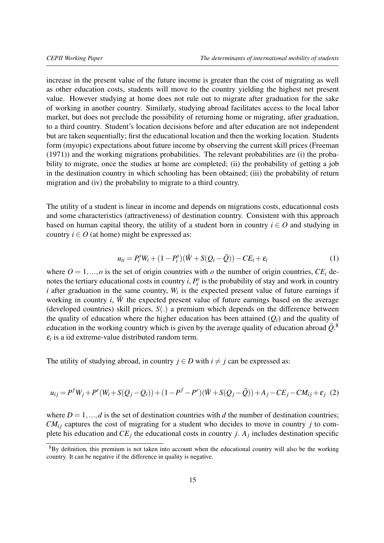increase in the present value of the future income is greater than the cost of migrating as well as other education costs, students will move to the country yielding the highest net present value. However studying at home does not rule out to migrate after graduation for the sake of working in another country. Similarly, studying abroad facilitates access to the local labor market, but does not preclude the possibility of returning home or migrating, after graduation, to a third country. Student's location decisions before and after education are not independent but are taken sequentially; first the educational location and then the working location. Students form (myopic) expectations about future income by observing the current skill prices [\(Freeman](#page-33-15) [\(1971\)](#page-33-15)) and the working migrations probabilities. The relevant probabilities are (i) the probability to migrate, once the studies at home are completed; (ii) the probability of getting a job in the destination country in which schooling has been obtained; (iii) the probability of return migration and (iv) the probability to migrate to a third country.

The utility of a student is linear in income and depends on migrations costs, educationnal costs and some characteristics (attractiveness) of destination country. Consistent with this approach based on human capital theory, the utility of a student born in country  $i \in O$  and studying in country  $i \in O$  (at home) might be expressed as:

$$
u_{ii} = P_i^s W_i + (1 - P_i^s)(\bar{W} + S(Q_i - \bar{Q})) - CE_i + \varepsilon_i
$$
 (1)

where  $O = 1, \ldots, \rho$  is the set of origin countries with  $\rho$  the number of origin countries,  $CE_i$  denotes the tertiary educational costs in country  $i$ ,  $P_i^s$  is the probability of stay and work in country *i* after graduation in the same country,  $W_i$  is the expected present value of future earnings if working in country *i*,  $\bar{W}$  the expected present value of future earnings based on the average (developed countries) skill prices, *S*(.) a premium which depends on the difference between the quality of education where the higher education has been attained  $(Q_i)$  and the quality of education in the working country which is given by the average quality of education abroad  $\bar{Q}$ <sup>[8](#page-0-0)</sup>.  $\varepsilon_i$  is a iid extreme-value distributed random term.

The utility of studying abroad, in country  $j \in D$  with  $i \neq j$  can be expressed as:

$$
u_{ij} = P^f W_j + P^r (W_i + S(Q_j - Q_i)) + (1 - P^f - P^r)(\bar{W} + S(Q_j - \bar{Q})) + A_j - CE_j - CM_{ij} + \varepsilon_j
$$
 (2)

where  $D = 1, ..., d$  is the set of destination countries with *d* the number of destination countries;  $CM_{ij}$  captures the cost of migrating for a student who decides to move in country *j* to complete his education and  $CE_j$  the educational costs in country *j*.  $A_j$  includes destination specific

<sup>&</sup>lt;sup>8</sup>By definition, this premium is not taken into account when the educational country will also be the working country. It can be negative if the difference in quality is negative.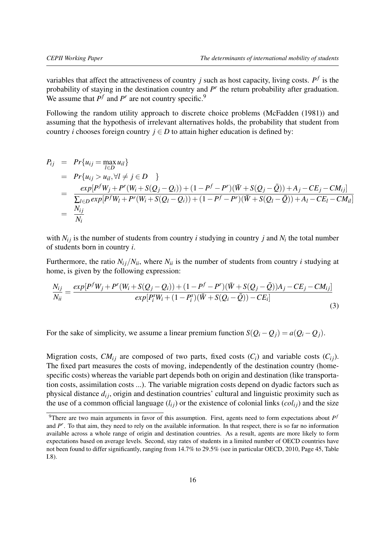variables that affect the attractiveness of country  $j$  such as host capacity, living costs.  $P^f$  is the probability of staying in the destination country and P<sup>r</sup> the return probability after graduation. We assume that  $P^f$  and  $P^r$  are not country specific.<sup>[9](#page-0-0)</sup>

Following the random utility approach to discrete choice problems [\(McFadden](#page-34-13) [\(1981\)](#page-34-13)) and assuming that the hypothesis of irrelevant alternatives holds, the probability that student from country *i* chooses foreign country  $j \in D$  to attain higher education is defined by:

$$
P_{ij} = Pr{u_{ij} = \max_{l \in D} u_{il}}
$$
  
=  $Pr{u_{ij} > u_{il}, \forall l \neq j \in D}$   
=  $\frac{exp[P^f W_j + P^r(W_i + S(Q_j - Q_i)) + (1 - P^f - P^r)(\overline{W} + S(Q_j - \overline{Q})) + A_j - CE_j - CM_{ij}]}{\sum_{l \in D} exp[P^f W_l + P^r(W_i + S(Q_l - Q_i)) + (1 - P^f - P^r)(\overline{W} + S(Q_l - \overline{Q})) + A_l - CE_l - CM_{il}]}$   
=  $\frac{N_{ij}}{N_i}$ 

with  $N_{ij}$  is the number of students from country *i* studying in country *j* and  $N_i$  the total number of students born in country *i*.

Furthermore, the ratio  $N_{ij}/N_{ii}$ , where  $N_{ii}$  is the number of students from country *i* studying at home, is given by the following expression:

<span id="page-15-0"></span>
$$
\frac{N_{ij}}{N_{ii}} = \frac{exp[P^fW_j + P^r(W_i + S(Q_j - Q_i)) + (1 - P^f - P^r)(\bar{W} + S(Q_j - \bar{Q}))A_j - CE_j - CM_{ij}]}{exp[P_i^sW_i + (1 - P_i^s)(\bar{W} + S(Q_i - \bar{Q})) - CE_i]}
$$
\n(3)

For the sake of simplicity, we assume a linear premium function  $S(Q_i - Q_j) = a(Q_i - Q_j)$ .

Migration costs,  $CM_{ij}$  are composed of two parts, fixed costs  $(C_i)$  and variable costs  $(C_{ij})$ . The fixed part measures the costs of moving, independently of the destination country (homespecific costs) whereas the variable part depends both on origin and destination (like transportation costs, assimilation costs ...). The variable migration costs depend on dyadic factors such as physical distance *di j*, origin and destination countries' cultural and linguistic proximity such as the use of a common official language  $(l_i)$  or the existence of colonial links  $(col_i)$  and the size

<sup>&</sup>lt;sup>9</sup>There are two main arguments in favor of this assumption. First, agents need to form expectations about  $P<sup>j</sup>$ and P<sup>r</sup>. To that aim, they need to rely on the available information. In that respect, there is so far no information available across a whole range of origin and destination countries. As a result, agents are more likely to form expectations based on average levels. Second, stay rates of students in a limited number of OECD countries have not been found to differ significantly, ranging from 14.7% to 29.5% (see in particular OECD, 2010, Page 45, Table I.8).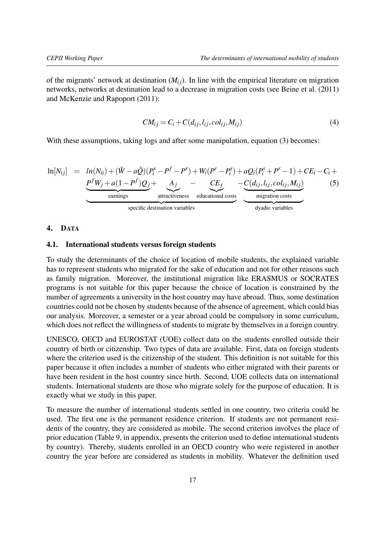of the migrants' network at destination  $(M_{ij})$ . In line with the empirical literature on migration networks, networks at destination lead to a decrease in migration costs (see [Beine et al.](#page-33-4) [\(2011\)](#page-33-4) and [McKenzie and Rapoport](#page-34-14) [\(2011\)](#page-34-14):

$$
CM_{ij} = C_i + C(d_{ij}, l_{ij}, col_{ij}, M_{ij})
$$
\n
$$
(4)
$$

With these assumptions, taking logs and after some manipulation, equation [\(3\)](#page-15-0) becomes:

<span id="page-16-2"></span>
$$
\ln[N_{ij}] = \underbrace{ln(N_{ii}) + (\bar{W} - a\bar{Q})(P_i^s - P^f - P^r) + W_i(P^r - P_i^s) + aQ_i(P_i^s + P^r - 1) + CE_i - C_i + P_i^r - 1}{\underbrace{P^f W_j + a(1 - P^f)Q_j}_{\text{earnings}} + \underbrace{A_j}_{\text{attractions}} - \underbrace{CE_j}_{\text{electronal costs}} - \underbrace{C(d_{ij}, l_{ij}, col_{ij}, M_{ij})}_{\text{dis variables}} (5)}
$$

#### <span id="page-16-0"></span>4. DATA

### <span id="page-16-1"></span>4.1. International students versus foreign students

To study the determinants of the choice of location of mobile students, the explained variable has to represent students who migrated for the sake of education and not for other reasons such as family migration. Moreover, the institutional migration like ERASMUS or SOCRATES programs is not suitable for this paper because the choice of location is constrained by the number of agreements a university in the host country may have abroad. Thus, some destination countries could not be chosen by students because of the absence of agreement, which could bias our analysis. Moreover, a semester or a year abroad could be compulsory in some curriculum, which does not reflect the willingness of students to migrate by themselves in a foreign country.

UNESCO, OECD and EUROSTAT (UOE) collect data on the students enrolled outside their country of birth or citizenship. Two types of data are available. First, data on foreign students where the criterion used is the citizenship of the student. This definition is not suitable for this paper because it often includes a number of students who either migrated with their parents or have been resident in the host country since birth. Second, UOE collects data on international students. International students are those who migrate solely for the purpose of education. It is exactly what we study in this paper.

To measure the number of international students settled in one country, two criteria could be used. The first one is the permanent residence criterion. If students are not permanent residents of the country, they are considered as mobile. The second criterion involves the place of prior education (Table [9,](#page-39-0) in appendix, presents the criterion used to define international students by country). Thereby, students enrolled in an OECD country who were registered in another country the year before are considered as students in mobility. Whatever the definition used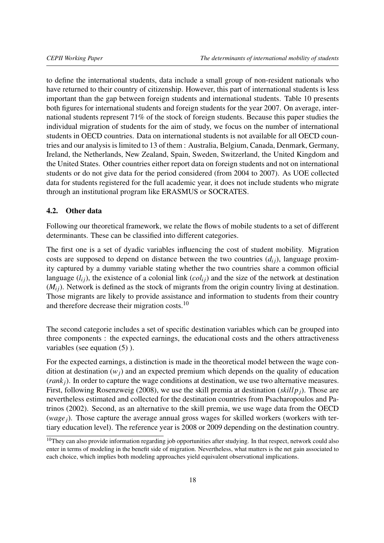to define the international students, data include a small group of non-resident nationals who have returned to their country of citizenship. However, this part of international students is less important than the gap between foreign students and international students. Table [10](#page-40-0) presents both figures for international students and foreign students for the year 2007. On average, international students represent 71% of the stock of foreign students. Because this paper studies the individual migration of students for the aim of study, we focus on the number of international students in OECD countries. Data on international students is not available for all OECD countries and our analysis is limited to 13 of them : Australia, Belgium, Canada, Denmark, Germany, Ireland, the Netherlands, New Zealand, Spain, Sweden, Switzerland, the United Kingdom and the United States. Other countries either report data on foreign students and not on international students or do not give data for the period considered (from 2004 to 2007). As UOE collected data for students registered for the full academic year, it does not include students who migrate through an institutional program like ERASMUS or SOCRATES.

#### <span id="page-17-0"></span>4.2. Other data

Following our theoretical framework, we relate the flows of mobile students to a set of different determinants. These can be classified into different categories.

The first one is a set of dyadic variables influencing the cost of student mobility. Migration costs are supposed to depend on distance between the two countries  $(d_{ij})$ , language proximity captured by a dummy variable stating whether the two countries share a common official language  $(l_{ij})$ , the existence of a colonial link  $(col_{ij})$  and the size of the network at destination (*Mi j*). Network is defined as the stock of migrants from the origin country living at destination. Those migrants are likely to provide assistance and information to students from their country and therefore decrease their migration costs.<sup>[10](#page-0-0)</sup>

The second categorie includes a set of specific destination variables which can be grouped into three components : the expected earnings, the educational costs and the others attractiveness variables (see equation [\(5\)](#page-16-2) ).

For the expected earnings, a distinction is made in the theoretical model between the wage condition at destination  $(w_i)$  and an expected premium which depends on the quality of education (*rank <sup>j</sup>*). In order to capture the wage conditions at destination, we use two alternative measures. First, following [Rosenzweig](#page-35-1) [\(2008\)](#page-35-1), we use the skill premia at destination (*skill pj*). Those are nevertheless estimated and collected for the destination countries from [Psacharopoulos and Pa](#page-35-8)[trinos](#page-35-8) [\(2002\)](#page-35-8). Second, as an alternative to the skill premia, we use wage data from the OECD (*wage <sup>j</sup>*). Those capture the average annual gross wages for skilled workers (workers with tertiary education level). The reference year is 2008 or 2009 depending on the destination country.

 $10$ They can also provide information regarding job opportunities after studying. In that respect, network could also enter in terms of modeling in the benefit side of migration. Nevertheless, what matters is the net gain associated to each choice, which implies both modeling approaches yield equivalent observational implications.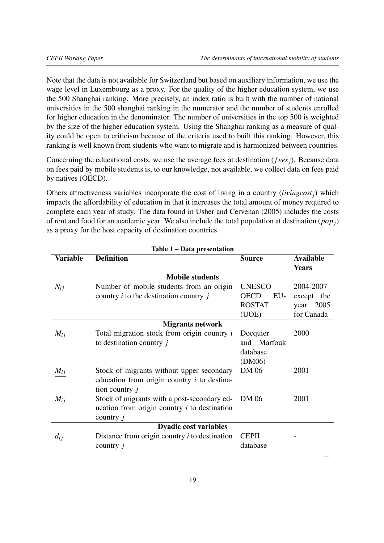Note that the data is not available for Switzerland but based on auxiliary information, we use the wage level in Luxembourg as a proxy. For the quality of the higher education system, we use the 500 Shanghai ranking. More precisely, an index ratio is built with the number of national universities in the 500 shanghai ranking in the numerator and the number of students enrolled for higher education in the denominator. The number of universities in the top 500 is weighted by the size of the higher education system. Using the Shanghai ranking as a measure of quality could be open to criticism because of the criteria used to built this ranking. However, this ranking is well known from students who want to migrate and is harmonized between countries.

Concerning the educational costs, we use the average fees at destination (*f eesj*). Because data on fees paid by mobile students is, to our knowledge, not available, we collect data on fees paid by natives (OECD).

Others attractiveness variables incorporate the cost of living in a country (*livingcostj*) which impacts the affordability of education in that it increases the total amount of money required to complete each year of study. The data found in [Usher and Cervenan](#page-35-9) [\(2005\)](#page-35-9) includes the costs of rent and food for an academic year. We also include the total population at destination (*popj*) as a proxy for the host capacity of destination countries.

| <b>Variable</b>     | <b>Definition</b>                               | <b>Source</b>      | <b>Available</b> |
|---------------------|-------------------------------------------------|--------------------|------------------|
|                     |                                                 |                    | <b>Years</b>     |
|                     | <b>Mobile students</b>                          |                    |                  |
| $N_{ij}$            | Number of mobile students from an origin        | <b>UNESCO</b>      | 2004-2007        |
|                     | country $i$ to the destination country $j$      | <b>OECD</b><br>EU- | except the       |
|                     |                                                 | <b>ROSTAT</b>      | 2005<br>year     |
|                     |                                                 | (UOE)              | for Canada       |
|                     | <b>Migrants network</b>                         |                    |                  |
| $M_{ij}$            | Total migration stock from origin country $i$   | Docquier           | 2000             |
|                     | to destination country $j$                      | and Marfouk        |                  |
|                     |                                                 | database           |                  |
|                     |                                                 | (DM06)             |                  |
| $M_{ij}$            | Stock of migrants without upper secondary       | DM 06              | 2001             |
|                     | education from origin country $i$ to destina-   |                    |                  |
|                     | tion country $j$                                |                    |                  |
| $\overline{M_{ij}}$ | Stock of migrants with a post-secondary ed-     | DM 06              | 2001             |
|                     | ucation from origin country $i$ to destination  |                    |                  |
|                     | country $j$                                     |                    |                  |
|                     | <b>Dyadic cost variables</b>                    |                    |                  |
| $d_{ij}$            | Distance from origin country $i$ to destination | <b>CEPII</b>       |                  |
|                     | country $j$                                     | database           |                  |
|                     |                                                 |                    |                  |

Table 1 – Data presentation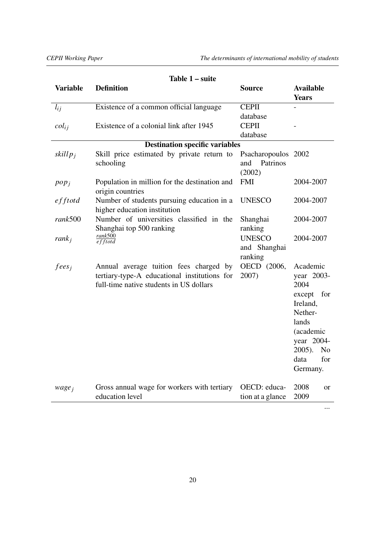|                   | Table 1 – suite                                                                                                                   |                                                  |                                                                                                                                                                |
|-------------------|-----------------------------------------------------------------------------------------------------------------------------------|--------------------------------------------------|----------------------------------------------------------------------------------------------------------------------------------------------------------------|
| <b>Variable</b>   | <b>Definition</b>                                                                                                                 | <b>Source</b>                                    | <b>Available</b><br><b>Years</b>                                                                                                                               |
| $l_{ij}$          | Existence of a common official language                                                                                           | <b>CEPII</b>                                     |                                                                                                                                                                |
| $col_{ij}$        | Existence of a colonial link after 1945                                                                                           | database<br><b>CEPII</b><br>database             |                                                                                                                                                                |
|                   | <b>Destination specific variables</b>                                                                                             |                                                  |                                                                                                                                                                |
| $skip_j$          | Skill price estimated by private return to<br>schooling                                                                           | Psacharopoulos 2002<br>Patrinos<br>and<br>(2002) |                                                                                                                                                                |
| $pop_j$           | Population in million for the destination and<br>origin countries                                                                 | <b>FMI</b>                                       | 2004-2007                                                                                                                                                      |
| $eff$ totd        | Number of students pursuing education in a<br>higher education institution                                                        | <b>UNESCO</b>                                    | 2004-2007                                                                                                                                                      |
| rank500           | Number of universities classified in the<br>Shanghai top 500 ranking                                                              | Shanghai<br>ranking                              | 2004-2007                                                                                                                                                      |
| $rank_i$          | rank500<br>$\overline{efftotal}$                                                                                                  | <b>UNESCO</b><br>and Shanghai<br>ranking         | 2004-2007                                                                                                                                                      |
| $fees_i$          | Annual average tuition fees charged by<br>tertiary-type-A educational institutions for<br>full-time native students in US dollars | OECD (2006,<br>2007)                             | Academic<br>year 2003-<br>2004<br>except for<br>Ireland,<br>Nether-<br>lands<br>(academic<br>year 2004-<br>N <sub>0</sub><br>2005).<br>for<br>data<br>Germany. |
| wage <sub>i</sub> | Gross annual wage for workers with tertiary<br>education level                                                                    | OECD: educa-<br>tion at a glance                 | 2008<br><sub>or</sub><br>2009                                                                                                                                  |

*...*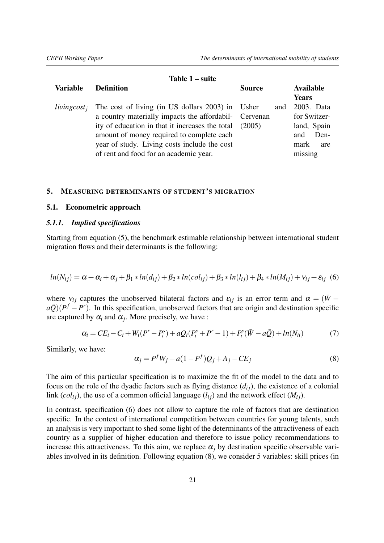|                 | $1400C + 700C$                                        |               |                  |
|-----------------|-------------------------------------------------------|---------------|------------------|
| <b>Variable</b> | <b>Definition</b>                                     | <b>Source</b> | <b>Available</b> |
|                 |                                                       |               | <b>Years</b>     |
| livingcost;     | The cost of living (in US dollars 2003) in Usher      | and           | 2003. Data       |
|                 | a country materially impacts the affordabil- Cervenan |               | for Switzer-     |
|                 | ity of education in that it increases the total       | (2005)        | land, Spain      |
|                 | amount of money required to complete each             |               | Den-<br>and      |
|                 | year of study. Living costs include the cost          |               | mark<br>are      |
|                 | of rent and food for an academic year.                |               | missing          |
|                 |                                                       |               |                  |

#### Table 1 – suite

#### <span id="page-20-0"></span>5. MEASURING DETERMINANTS OF STUDENT'S MIGRATION

## <span id="page-20-1"></span>5.1. Econometric approach

## *5.1.1. Implied specifications*

<span id="page-20-2"></span>Starting from equation [\(5\)](#page-16-2), the benchmark estimable relationship between international student migration flows and their determinants is the following:

$$
ln(N_{ij}) = \alpha + \alpha_i + \alpha_j + \beta_1 * ln(d_{ij}) + \beta_2 * ln(col_{ij}) + \beta_3 * ln(l_{ij}) + \beta_4 * ln(M_{ij}) + \nu_{ij} + \varepsilon_{ij}
$$
(6)

where  $v_{ij}$  captures the unobserved bilateral factors and  $\varepsilon_{ij}$  is an error term and  $\alpha = (\bar{W}$  $a\overline{Q}$ )( $P^f - P^r$ ). In this specification, unobserved factors that are origin and destination specific are captured by  $\alpha_i$  and  $\alpha_j$ . More precisely, we have :

$$
\alpha_i = CE_i - C_i + W_i(P^r - P_i^s) + aQ_i(P_i^s + P^r - 1) + P_i^s(\bar{W} - a\bar{Q}) + ln(N_{ii})
$$
\n(7)

Similarly, we have:

<span id="page-20-3"></span>
$$
\alpha_j = P^f W_j + a(1 - P^f)Q_j + A_j - CE_j \tag{8}
$$

The aim of this particular specification is to maximize the fit of the model to the data and to focus on the role of the dyadic factors such as flying distance  $(d_i)$ , the existence of a colonial link (*col<sub>i</sub>*), the use of a common official language ( $l_{ij}$ ) and the network effect ( $M_{ij}$ ).

In contrast, specification [\(6\)](#page-20-2) does not allow to capture the role of factors that are destination specific. In the context of international competition between countries for young talents, such an analysis is very important to shed some light of the determinants of the attractiveness of each country as a supplier of higher education and therefore to issue policy recommendations to increase this attractiveness. To this aim, we replace  $\alpha_j$  by destination specific observable variables involved in its definition. Following equation [\(8\)](#page-20-3), we consider 5 variables: skill prices (in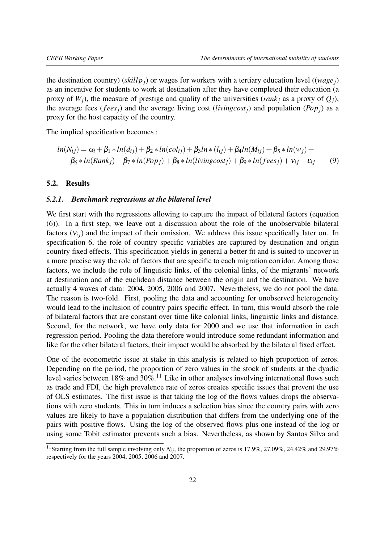the destination country) (*skill*  $p_j$ ) or wages for workers with a tertiary education level ((*wage*  $j$ ) as an incentive for students to work at destination after they have completed their education (a proxy of  $W_i$ ), the measure of prestige and quality of the universities (*rank j* as a proxy of  $Q_i$ ), the average fees (*fees<sub>i</sub>*) and the average living cost (*livingcost<sub>i</sub>*) and population (*Pop<sub>j</sub>*) as a proxy for the host capacity of the country.

The implied specification becomes :

<span id="page-21-1"></span>
$$
ln(N_{ij}) = \alpha_i + \beta_1 * ln(d_{ij}) + \beta_2 * ln(col_{ij}) + \beta_3 ln * (l_{ij}) + \beta_4 ln(M_{ij}) + \beta_5 * ln(w_j) + \beta_6 * ln(Rank_j) + \beta_7 * ln(Pop_j) + \beta_8 * ln(livingcost_j) + \beta_9 * ln(fees_j) + v_{ij} + \varepsilon_{ij}
$$
\n(9)

#### <span id="page-21-0"></span>5.2. Results

#### *5.2.1. Benchmark regressions at the bilateral level*

We first start with the regressions allowing to capture the impact of bilateral factors (equation [\(6\)](#page-20-2)). In a first step, we leave out a discussion about the role of the unobservable bilateral factors  $(v_{ij})$  and the impact of their omission. We address this issue specifically later on. In specification [6,](#page-20-2) the role of country specific variables are captured by destination and origin country fixed effects. This specification yields in general a better fit and is suited to uncover in a more precise way the role of factors that are specific to each migration corridor. Among those factors, we include the role of linguistic links, of the colonial links, of the migrants' network at destination and of the euclidean distance between the origin and the destination. We have actually 4 waves of data: 2004, 2005, 2006 and 2007. Nevertheless, we do not pool the data. The reason is two-fold. First, pooling the data and accounting for unobserved heterogeneity would lead to the inclusion of country pairs specific effect. In turn, this would absorb the role of bilateral factors that are constant over time like colonial links, linguistic links and distance. Second, for the network, we have only data for 2000 and we use that information in each regression period. Pooling the data therefore would introduce some redundant information and like for the other bilateral factors, their impact would be absorbed by the bilateral fixed effect.

One of the econometric issue at stake in this analysis is related to high proportion of zeros. Depending on the period, the proportion of zero values in the stock of students at the dyadic level varies between 18% and 30%.<sup>[11](#page-0-0)</sup> Like in other analyses involving international flows such as trade and FDI, the high prevalence rate of zeros creates specific issues that prevent the use of OLS estimates. The first issue is that taking the log of the flows values drops the observations with zero students. This in turn induces a selection bias since the country pairs with zero values are likely to have a population distribution that differs from the underlying one of the pairs with positive flows. Using the log of the observed flows plus one instead of the log or using some Tobit estimator prevents such a bias. Nevertheless, as shown by [Santos Silva and](#page-35-10)

<sup>&</sup>lt;sup>11</sup>Starting from the full sample involving only  $N_i$ [, the proportion of zeros is 17.9%, 27.09%, 24.42% and 29.97%](#page-35-10) [respectively for the years 2004, 2005, 2006 and 2007.](#page-35-10)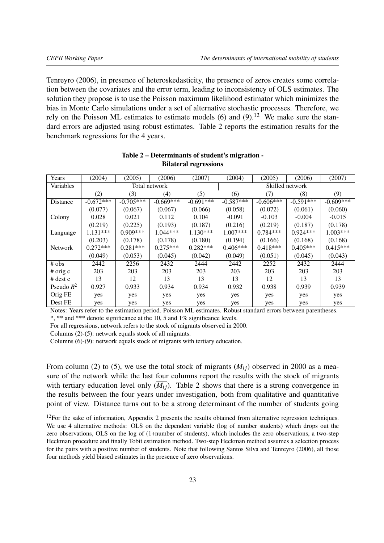[Tenreyro](#page-35-10) [\(2006\)](#page-35-10), in presence of heteroskedasticity, the presence of zeros creates some correlation between the covariates and the error term, leading to inconsistency of OLS estimates. The solution they propose is to use the Poisson maximum likelihood estimator which minimizes the bias in Monte Carlo simulations under a set of alternative stochastic processes. Therefore, we rely on the Poisson ML estimates to estimate models [\(6\)](#page-20-2) and [\(9\)](#page-21-1).<sup>[12](#page-0-0)</sup> We make sure the standard errors are adjusted using robust estimates. Table [2](#page-22-0) reports the estimation results for the benchmark regressions for the 4 years.

<span id="page-22-0"></span>

| Years          | (2004)      | (2005)      | (2006)        | (2007)      | (2004)      | (2005)          | (2006)      | (2007)      |  |
|----------------|-------------|-------------|---------------|-------------|-------------|-----------------|-------------|-------------|--|
| Variables      |             |             | Total network |             |             | Skilled network |             |             |  |
|                | (2)         | (3)         | (4)           | (5)         | (6)         | (7)             | (8)         | (9)         |  |
| Distance       | $-0.672***$ | $-0.705***$ | $-0.669***$   | $-0.691***$ | $-0.587***$ | $-0.606***$     | $-0.591***$ | $-0.609***$ |  |
|                | (0.077)     | (0.067)     | (0.067)       | (0.066)     | (0.058)     | (0.072)         | (0.061)     | (0.060)     |  |
| Colony         | 0.028       | 0.021       | 0.112         | 0.104       | $-0.091$    | $-0.103$        | $-0.004$    | $-0.015$    |  |
|                | (0.219)     | (0.225)     | (0.193)       | (0.187)     | (0.216)     | (0.219)         | (0.187)     | (0.178)     |  |
| Language       | $1.131***$  | $0.909***$  | $1.044***$    | $1.130***$  | $1.007***$  | $0.784***$      | $0.924***$  | $1.003***$  |  |
|                | (0.203)     | (0.178)     | (0.178)       | (0.180)     | (0.194)     | (0.166)         | (0.168)     | (0.168)     |  |
| <b>Network</b> | $0.272***$  | $0.281***$  | $0.275***$    | $0.282***$  | $0.406***$  | $0.418***$      | $0.405***$  | $0.415***$  |  |
|                | (0.049)     | (0.053)     | (0.045)       | (0.042)     | (0.049)     | (0.051)         | (0.045)     | (0.043)     |  |
| # obs          | 2442        | 2256        | 2432          | 2444        | 2442        | 2252            | 2432        | 2444        |  |
| $#$ orig c     | 203         | 203         | 203           | 203         | 203         | 203             | 203         | 203         |  |
| $#$ dest c     | 13          | 12          | 13            | 13          | 13          | 12              | 13          | 13          |  |
| Pseudo $R^2$   | 0.927       | 0.933       | 0.934         | 0.934       | 0.932       | 0.938           | 0.939       | 0.939       |  |
| Orig FE        | yes         | yes         | yes           | yes         | yes         | yes             | yes         | yes         |  |
| Dest FE        | yes         | yes         | yes           | yes         | yes         | yes             | yes         | yes         |  |

## Table 2 – Determinants of student's migration - Bilateral regressions

Notes: Years refer to the estimation period. Poisson ML estimates. Robust standard errors between parentheses. \*, \*\* and \*\*\* denote significance at the 10, 5 and 1% significance levels.

For all regressions, network refers to the stock of migrants observed in 2000.

Columns (2)-(5): network equals stock of all migrants.

Columns (6)-(9): network equals stock of migrants with tertiary education.

From column (2) to (5), we use the total stock of migrants  $(M_{ii})$  observed in 2000 as a measure of the network while the last four columns report the results with the stock of migrants with tertiary education level only  $(\overline{M_{ii}})$ . Table [2](#page-22-0) shows that there is a strong convergence in the results between the four years under investigation, both from qualitative and quantitative point of view. Distance turns out to be a strong determinant of the number of students going

<sup>&</sup>lt;sup>12</sup>For the sake of information, Appendix 2 presents the results obtained from alternative regression techniques. We use 4 alternative methods: OLS on the dependent variable (log of number students) which drops out the zero observations, OLS on the log of (1+number of students), which includes the zero observations, a two-step Heckman procedure and finally Tobit estimation method. Two-step Heckman method assumes a selection process for the pairs with a positive number of students. Note that following [Santos Silva and Tenreyro](#page-35-10) [\(2006\)](#page-35-10), all those four methods yield biased estimates in the presence of zero observations.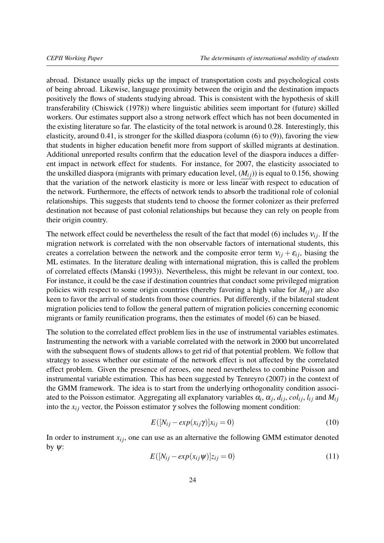abroad. Distance usually picks up the impact of transportation costs and psychological costs of being abroad. Likewise, language proximity between the origin and the destination impacts positively the flows of students studying abroad. This is consistent with the hypothesis of skill transferability [\(Chiswick](#page-33-16) [\(1978\)](#page-33-16)) where linguistic abilities seem important for (future) skilled workers. Our estimates support also a strong network effect which has not been documented in the existing literature so far. The elasticity of the total network is around 0.28. Interestingly, this elasticity, around 0.41, is stronger for the skilled diaspora (column (6) to (9)), favoring the view that students in higher education benefit more from support of skilled migrants at destination. Additional unreported results confirm that the education level of the diaspora induces a different impact in network effect for students. For instance, for 2007, the elasticity associated to the unskilled diaspora (migrants with primary education level,  $(M_{ij})$ ) is equal to 0.156, showing that the variation of the network elasticity is more or less linear with respect to education of the network. Furthermore, the effects of network tends to absorb the traditional role of colonial relationships. This suggests that students tend to choose the former colonizer as their preferred destination not because of past colonial relationships but because they can rely on people from their origin country.

The network effect could be nevertheless the result of the fact that model [\(6\)](#page-20-2) includes  $v_{ij}$ . If the migration network is correlated with the non observable factors of international students, this creates a correlation between the network and the composite error term  $v_{ij} + \varepsilon_{ij}$ , biasing the ML estimates. In the literature dealing with international migration, this is called the problem of correlated effects [\(Manski](#page-34-17) [\(1993\)](#page-34-17)). Nevertheless, this might be relevant in our context, too. For instance, it could be the case if destination countries that conduct some privileged migration policies with respect to some origin countries (thereby favoring a high value for  $M_{ij}$ ) are also keen to favor the arrival of students from those countries. Put differently, if the bilateral student migration policies tend to follow the general pattern of migration policies concerning economic migrants or family reunification programs, then the estimates of model [\(6\)](#page-20-2) can be biased.

The solution to the correlated effect problem lies in the use of instrumental variables estimates. Instrumenting the network with a variable correlated with the network in 2000 but uncorrelated with the subsequent flows of students allows to get rid of that potential problem. We follow that strategy to assess whether our estimate of the network effect is not affected by the correlated effect problem. Given the presence of zeroes, one need nevertheless to combine Poisson and instrumental variable estimation. This has been suggested by [Tenreyro](#page-35-11) [\(2007\)](#page-35-11) in the context of the GMM framework. The idea is to start from the underlying orthogonality condition associated to the Poisson estimator. Aggregating all explanatory variables  $\alpha_i$ ,  $\alpha_j$ ,  $d_{ij}$ ,  $col_{ij}$ ,  $l_{ij}$  and  $M_{ij}$ into the  $x_{ij}$  vector, the Poisson estimator  $\gamma$  solves the following moment condition:

$$
E([N_{ij} - exp(x_{ij}\gamma)]x_{ij} = 0)
$$
\n(10)

<span id="page-23-0"></span>In order to instrument  $x_{ij}$ , one can use as an alternative the following GMM estimator denoted by  $\psi$ :

$$
E([N_{ij} - exp(x_{ij}\psi)]z_{ij} = 0)
$$
\n(11)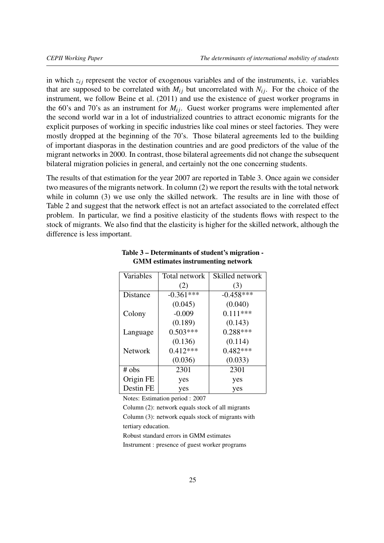in which  $z_{ij}$  represent the vector of exogenous variables and of the instruments, i.e. variables that are supposed to be correlated with  $M_{ij}$  but uncorrelated with  $N_{ij}$ . For the choice of the instrument, we follow [Beine et al.](#page-33-4) [\(2011\)](#page-33-4) and use the existence of guest worker programs in the 60's and 70's as an instrument for  $M_{ij}$ . Guest worker programs were implemented after the second world war in a lot of industrialized countries to attract economic migrants for the explicit purposes of working in specific industries like coal mines or steel factories. They were mostly dropped at the beginning of the 70's. Those bilateral agreements led to the building of important diasporas in the destination countries and are good predictors of the value of the migrant networks in 2000. In contrast, those bilateral agreements did not change the subsequent bilateral migration policies in general, and certainly not the one concerning students.

<span id="page-24-0"></span>The results of that estimation for the year 2007 are reported in Table [3.](#page-24-0) Once again we consider two measures of the migrants network. In column (2) we report the results with the total network while in column (3) we use only the skilled network. The results are in line with those of Table [2](#page-22-0) and suggest that the network effect is not an artefact associated to the correlated effect problem. In particular, we find a positive elasticity of the students flows with respect to the stock of migrants. We also find that the elasticity is higher for the skilled network, although the difference is less important.

| Variables      | Total network | Skilled network |
|----------------|---------------|-----------------|
|                | (2)           | (3)             |
| Distance       | $-0.361***$   | $-0.458***$     |
|                | (0.045)       | (0.040)         |
| Colony         | $-0.009$      | $0.111***$      |
|                | (0.189)       | (0.143)         |
| Language       | $0.503***$    | $0.288***$      |
|                | (0.136)       | (0.114)         |
| <b>Network</b> | $0.412***$    | $0.482***$      |
|                | (0.036)       | (0.033)         |
| $#$ obs        | 2301          | 2301            |
| Origin FE      | yes           | yes             |
| Destin FE      | yes           | yes             |

## Table 3 – Determinants of student's migration - GMM estimates instrumenting network

Notes: Estimation period : 2007

Column (2): network equals stock of all migrants Column (3): network equals stock of migrants with tertiary education.

Robust standard errors in GMM estimates

Instrument : presence of guest worker programs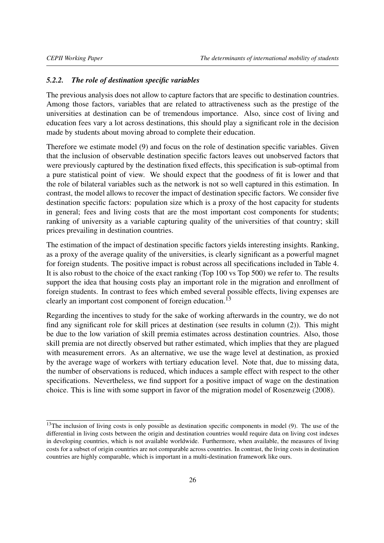#### *5.2.2. The role of destination specific variables*

The previous analysis does not allow to capture factors that are specific to destination countries. Among those factors, variables that are related to attractiveness such as the prestige of the universities at destination can be of tremendous importance. Also, since cost of living and education fees vary a lot across destinations, this should play a significant role in the decision made by students about moving abroad to complete their education.

Therefore we estimate model [\(9\)](#page-21-1) and focus on the role of destination specific variables. Given that the inclusion of observable destination specific factors leaves out unobserved factors that were previously captured by the destination fixed effects, this specification is sub-optimal from a pure statistical point of view. We should expect that the goodness of fit is lower and that the role of bilateral variables such as the network is not so well captured in this estimation. In contrast, the model allows to recover the impact of destination specific factors. We consider five destination specific factors: population size which is a proxy of the host capacity for students in general; fees and living costs that are the most important cost components for students; ranking of university as a variable capturing quality of the universities of that country; skill prices prevailing in destination countries.

The estimation of the impact of destination specific factors yields interesting insights. Ranking, as a proxy of the average quality of the universities, is clearly significant as a powerful magnet for foreign students. The positive impact is robust across all specifications included in Table [4.](#page-26-0) It is also robust to the choice of the exact ranking (Top 100 vs Top 500) we refer to. The results support the idea that housing costs play an important role in the migration and enrollment of foreign students. In contrast to fees which embed several possible effects, living expenses are clearly an important cost component of foreign education.<sup>[13](#page-0-0)</sup>

Regarding the incentives to study for the sake of working afterwards in the country, we do not find any significant role for skill prices at destination (see results in column (2)). This might be due to the low variation of skill premia estimates across destination countries. Also, those skill premia are not directly observed but rather estimated, which implies that they are plagued with measurement errors. As an alternative, we use the wage level at destination, as proxied by the average wage of workers with tertiary education level. Note that, due to missing data, the number of observations is reduced, which induces a sample effect with respect to the other specifications. Nevertheless, we find support for a positive impact of wage on the destination choice. This is line with some support in favor of the migration model of [Rosenzweig](#page-35-1) [\(2008\)](#page-35-1).

 $13$ The inclusion of living costs is only possible as destination specific components in model [\(9\)](#page-21-1). The use of the differential in living costs between the origin and destination countries would require data on living cost indexes in developing countries, which is not available worldwide. Furthermore, when available, the measures of living costs for a subset of origin countries are not comparable across countries. In contrast, the living costs in destination countries are highly comparable, which is important in a multi-destination framework like ours.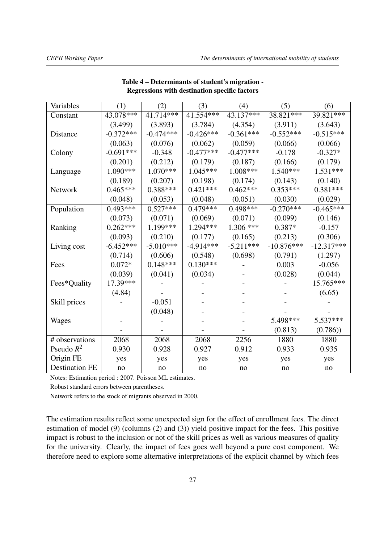<span id="page-26-0"></span>

| Variables             | (1)         | (2)         | (3)         | (4)         | (5)          | (6)          |
|-----------------------|-------------|-------------|-------------|-------------|--------------|--------------|
| Constant              | 43.078***   | $41.714***$ | $41.554***$ | 43.137***   | 38.821***    | 39.821 ***   |
|                       | (3.499)     | (3.893)     | (3.784)     | (4.354)     | (3.911)      | (3.643)      |
| Distance              | $-0.372***$ | $-0.474***$ | $-0.426***$ | $-0.361***$ | $-0.552***$  | $-0.515***$  |
|                       | (0.063)     | (0.076)     | (0.062)     | (0.059)     | (0.066)      | (0.066)      |
| Colony                | $-0.691***$ | $-0.348$    | $-0.477***$ | $-0.477***$ | $-0.178$     | $-0.327*$    |
|                       | (0.201)     | (0.212)     | (0.179)     | (0.187)     | (0.166)      | (0.179)      |
| Language              | 1.090***    | $1.070***$  | $1.045***$  | $1.008***$  | 1.540***     | $1.531***$   |
|                       | (0.189)     | (0.207)     | (0.198)     | (0.174)     | (0.143)      | (0.140)      |
| Network               | $0.465***$  | $0.388***$  | $0.421***$  | $0.462***$  | $0.353***$   | $0.381***$   |
|                       | (0.048)     | (0.053)     | (0.048)     | (0.051)     | (0.030)      | (0.029)      |
| Population            | $0.493***$  | $0.527***$  | $0.479***$  | $0.498***$  | $-0.270***$  | $-0.465***$  |
|                       | (0.073)     | (0.071)     | (0.069)     | (0.071)     | (0.099)      | (0.146)      |
| Ranking               | $0.262***$  | 1.199***    | 1.294***    | $1.306$ *** | $0.387*$     | $-0.157$     |
|                       | (0.093)     | (0.210)     | (0.177)     | (0.165)     | (0.213)      | (0.306)      |
| Living cost           | $-6.452***$ | $-5.010***$ | $-4.914***$ | $-5.211***$ | $-10.876***$ | $-12.317***$ |
|                       | (0.714)     | (0.606)     | (0.548)     | (0.698)     | (0.791)      | (1.297)      |
| Fees                  | $0.072*$    | $0.148***$  | $0.130***$  |             | 0.003        | $-0.056$     |
|                       | (0.039)     | (0.041)     | (0.034)     |             | (0.028)      | (0.044)      |
| Fees*Quality          | 17.39***    |             |             |             |              | 15.765***    |
|                       | (4.84)      |             |             |             |              | (6.65)       |
| Skill prices          |             | $-0.051$    |             |             |              |              |
|                       |             | (0.048)     |             |             |              |              |
| Wages                 |             |             |             |             | 5.498***     | 5.537***     |
|                       |             |             |             |             | (0.813)      | (0.786)      |
| # observations        | 2068        | 2068        | 2068        | 2256        | 1880         | 1880         |
| Pseudo $R^2$          | 0.930       | 0.928       | 0.927       | 0.912       | 0.933        | 0.935        |
| Origin FE             | yes         | yes         | yes         | yes         | yes          | yes          |
| <b>Destination FE</b> | no          | no          | no          | no          | no           | no           |

# Table 4 – Determinants of student's migration - Regressions with destination specific factors

Notes: Estimation period : 2007. Poisson ML estimates.

Robust standard errors between parentheses.

Network refers to the stock of migrants observed in 2000.

The estimation results reflect some unexpected sign for the effect of enrollment fees. The direct estimation of model [\(9\)](#page-21-1) (columns (2) and (3)) yield positive impact for the fees. This positive impact is robust to the inclusion or not of the skill prices as well as various measures of quality for the university. Clearly, the impact of fees goes well beyond a pure cost component. We therefore need to explore some alternative interpretations of the explicit channel by which fees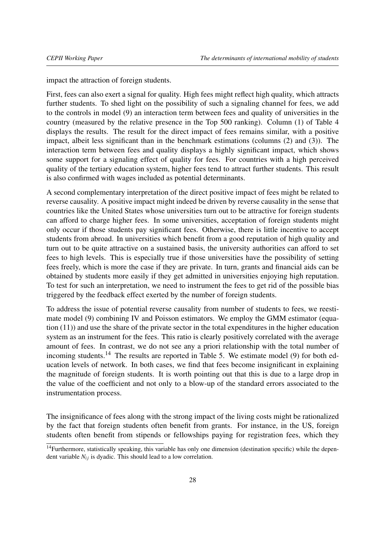impact the attraction of foreign students.

First, fees can also exert a signal for quality. High fees might reflect high quality, which attracts further students. To shed light on the possibility of such a signaling channel for fees, we add to the controls in model [\(9\)](#page-21-1) an interaction term between fees and quality of universities in the country (measured by the relative presence in the Top 500 ranking). Column (1) of Table [4](#page-26-0) displays the results. The result for the direct impact of fees remains similar, with a positive impact, albeit less significant than in the benchmark estimations (columns (2) and (3)). The interaction term between fees and quality displays a highly significant impact, which shows some support for a signaling effect of quality for fees. For countries with a high perceived quality of the tertiary education system, higher fees tend to attract further students. This result is also confirmed with wages included as potential determinants.

A second complementary interpretation of the direct positive impact of fees might be related to reverse causality. A positive impact might indeed be driven by reverse causality in the sense that countries like the United States whose universities turn out to be attractive for foreign students can afford to charge higher fees. In some universities, acceptation of foreign students might only occur if those students pay significant fees. Otherwise, there is little incentive to accept students from abroad. In universities which benefit from a good reputation of high quality and turn out to be quite attractive on a sustained basis, the university authorities can afford to set fees to high levels. This is especially true if those universities have the possibility of setting fees freely, which is more the case if they are private. In turn, grants and financial aids can be obtained by students more easily if they get admitted in universities enjoying high reputation. To test for such an interpretation, we need to instrument the fees to get rid of the possible bias triggered by the feedback effect exerted by the number of foreign students.

To address the issue of potential reverse causality from number of students to fees, we reestimate model [\(9\)](#page-21-1) combining IV and Poisson estimators. We employ the GMM estimator (equation [\(11\)](#page-23-0)) and use the share of the private sector in the total expenditures in the higher education system as an instrument for the fees. This ratio is clearly positively correlated with the average amount of fees. In contrast, we do not see any a priori relationship with the total number of incoming students.<sup>[14](#page-0-0)</sup> The results are reported in Table [5.](#page-28-0) We estimate model  $(9)$  for both education levels of network. In both cases, we find that fees become insignificant in explaining the magnitude of foreign students. It is worth pointing out that this is due to a large drop in the value of the coefficient and not only to a blow-up of the standard errors associated to the instrumentation process.

The insignificance of fees along with the strong impact of the living costs might be rationalized by the fact that foreign students often benefit from grants. For instance, in the US, foreign students often benefit from stipends or fellowships paying for registration fees, which they

 $14$ Furthermore, statistically speaking, this variable has only one dimension (destination specific) while the dependent variable  $N_{ij}$  is dyadic. This should lead to a low correlation.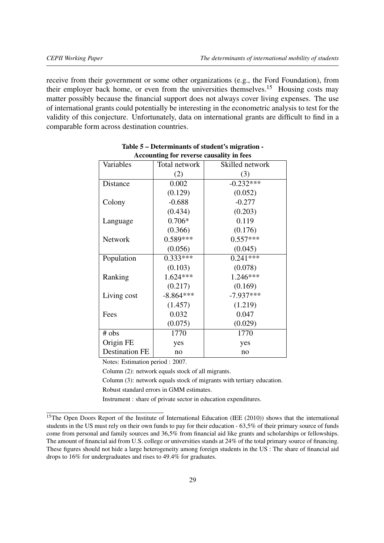receive from their government or some other organizations (e.g., the Ford Foundation), from their employer back home, or even from the universities themselves.<sup>[15](#page-0-0)</sup> Housing costs may matter possibly because the financial support does not always cover living expenses. The use of international grants could potentially be interesting in the econometric analysis to test for the validity of this conjecture. Unfortunately, data on international grants are difficult to find in a comparable form across destination countries.

<span id="page-28-0"></span>

| Variables             | Total network | Skilled network |
|-----------------------|---------------|-----------------|
|                       | (2)           | (3)             |
| Distance              | 0.002         | $-0.232***$     |
|                       | (0.129)       | (0.052)         |
|                       |               |                 |
| Colony                | $-0.688$      | $-0.277$        |
|                       | (0.434)       | (0.203)         |
| Language              | $0.706*$      | 0.119           |
|                       | (0.366)       | (0.176)         |
| <b>Network</b>        | 0.589***      | $0.557***$      |
|                       | (0.056)       | (0.045)         |
| Population            | $0.333***$    | $0.241***$      |
|                       | (0.103)       | (0.078)         |
| Ranking               | $1.624***$    | $1.246***$      |
|                       | (0.217)       | (0.169)         |
| Living cost           | $-8.864***$   | $-7.937***$     |
|                       | (1.457)       | (1.219)         |
| Fees                  | 0.032         | 0.047           |
|                       | (0.075)       | (0.029)         |
| # obs                 | 1770          | 1770            |
| Origin FE             | yes           | yes             |
| <b>Destination FE</b> | no            | no              |

#### Table 5 – Determinants of student's migration - Accounting for reverse causality in fees

Notes: Estimation period : 2007.

Column (2): network equals stock of all migrants.

Column (3): network equals stock of migrants with tertiary education.

Robust standard errors in GMM estimates.

Instrument : share of private sector in education expenditures.

<sup>&</sup>lt;sup>15</sup>The Open Doors Report of the Institute of International Education [\(IEE](#page-34-18) [\(2010\)](#page-34-18)) shows that the international students in the US must rely on their own funds to pay for their education - 63,5% of their primary source of funds come from personal and family sources and 36,5% from financial aid like grants and scholarships or fellowships. The amount of financial aid from U.S. college or universities stands at 24% of the total primary source of financing. These figures should not hide a large heterogeneity among foreign students in the US : The share of financial aid drops to 16% for undergraduates and rises to 49.4% for graduates.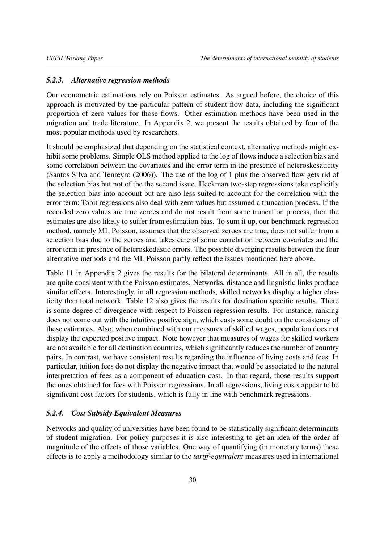#### *5.2.3. Alternative regression methods*

Our econometric estimations rely on Poisson estimates. As argued before, the choice of this approach is motivated by the particular pattern of student flow data, including the significant proportion of zero values for those flows. Other estimation methods have been used in the migration and trade literature. In Appendix 2, we present the results obtained by four of the most popular methods used by researchers.

It should be emphasized that depending on the statistical context, alternative methods might exhibit some problems. Simple OLS method applied to the log of flows induce a selection bias and some correlation between the covariates and the error term in the presence of heteroskesaticity [\(Santos Silva and Tenreyro](#page-35-10) [\(2006\)](#page-35-10)). The use of the log of 1 plus the observed flow gets rid of the selection bias but not of the the second issue. Heckman two-step regressions take explicitly the selection bias into account but are also less suited to account for the correlation with the error term; Tobit regressions also deal with zero values but assumed a truncation process. If the recorded zero values are true zeroes and do not result from some truncation process, then the estimates are also likely to suffer from estimation bias. To sum it up, our benchmark regression method, namely ML Poisson, assumes that the observed zeroes are true, does not suffer from a selection bias due to the zeroes and takes care of some correlation between covariates and the error term in presence of heteroskedastic errors. The possible diverging results between the four alternative methods and the ML Poisson partly reflect the issues mentioned here above.

Table 11 in Appendix 2 gives the results for the bilateral determinants. All in all, the results are quite consistent with the Poisson estimates. Networks, distance and linguistic links produce similar effects. Interestingly, in all regression methods, skilled networks display a higher elasticity than total network. Table 12 also gives the results for destination specific results. There is some degree of divergence with respect to Poisson regression results. For instance, ranking does not come out with the intuitive positive sign, which casts some doubt on the consistency of these estimates. Also, when combined with our measures of skilled wages, population does not display the expected positive impact. Note however that measures of wages for skilled workers are not available for all destination countries, which significantly reduces the number of country pairs. In contrast, we have consistent results regarding the influence of living costs and fees. In particular, tuition fees do not display the negative impact that would be associated to the natural interpretation of fees as a component of education cost. In that regard, those results support the ones obtained for fees with Poisson regressions. In all regressions, living costs appear to be significant cost factors for students, which is fully in line with benchmark regressions.

## *5.2.4. Cost Subsidy Equivalent Measures*

Networks and quality of universities have been found to be statistically significant determinants of student migration. For policy purposes it is also interesting to get an idea of the order of magnitude of the effects of those variables. One way of quantifying (in monetary terms) these effects is to apply a methodology similar to the *tariff-equivalent* measures used in international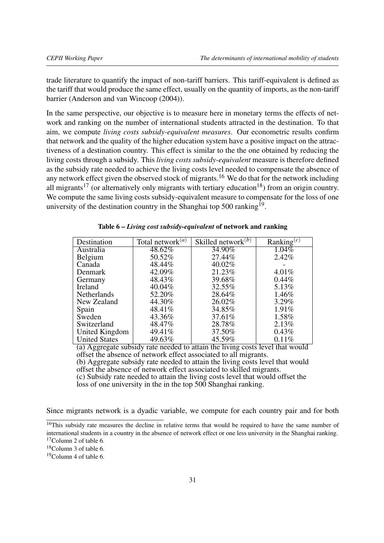trade literature to quantify the impact of non-tariff barriers. This tariff-equivalent is defined as the tariff that would produce the same effect, usually on the quantity of imports, as the non-tariff barrier [\(Anderson and van Wincoop](#page-33-17) [\(2004\)](#page-33-17)).

In the same perspective, our objective is to measure here in monetary terms the effects of network and ranking on the number of international students attracted in the destination. To that aim, we compute *living costs subsidy-equivalent measures*. Our econometric results confirm that network and the quality of the higher education system have a positive impact on the attractiveness of a destination country. This effect is similar to the the one obtained by reducing the living costs through a subsidy. This *living costs subsidy-equivalent* measure is therefore defined as the subsidy rate needed to achieve the living costs level needed to compensate the absence of any network effect given the observed stock of migrants.[16](#page-0-0) We do that for the network including all migrants<sup>[17](#page-0-0)</sup> (or alternatively only migrants with tertiary education<sup>[18](#page-0-0)</sup>) from an origin country. We compute the same living costs subsidy-equivalent measure to compensate for the loss of one university of the destination country in the Shanghai top 500 ranking<sup>[19](#page-0-0)</sup>.

<span id="page-30-0"></span>

| Destination          | Total network $(a)$ | Skilled network $(b)$ | Ranking $(c)$ |
|----------------------|---------------------|-----------------------|---------------|
| Australia            | 48.62%              | 34.90%                | $1.04\%$      |
| Belgium              | 50.52%              | 27.44%                | 2.42%         |
| Canada               | 48.44%              | 40.02%                |               |
| Denmark              | 42.09%              | 21.23%                | 4.01%         |
| Germany              | 48.43%              | 39.68%                | 0.44%         |
| Ireland              | 40.04%              | 32.55%                | 5.13%         |
| <b>Netherlands</b>   | 52.20%              | 28.64%                | 1.46%         |
| New Zealand          | 44.30%              | 26.02%                | 3.29%         |
| Spain                | 48.41%              | 34.85%                | 1.91%         |
| Sweden               | 43.36%              | 37.61%                | 1.58%         |
| Switzerland          | 48.47%              | 28.78%                | 2.13%         |
| United Kingdom       | 49.41%              | 37.50%                | 0.43%         |
| <b>United States</b> | 49.63%              | 45.59%                | 0.11%         |

Table 6 – *Living cost subsidy-equivalent* of network and ranking

(a) Aggregate subsidy rate needed to attain the living costs level that would offset the absence of network effect associated to all migrants. (b) Aggregate subsidy rate needed to attain the living costs level that would offset the absence of network effect associated to skilled migrants. (c) Subsidy rate needed to attain the living costs level that would offset the loss of one university in the in the top 500 Shanghai ranking.

Since migrants network is a dyadic variable, we compute for each country pair and for both

<sup>&</sup>lt;sup>16</sup>This subsidy rate measures the decline in relative terms that would be required to have the same number of international students in a country in the absence of network effect or one less university in the Shanghai ranking. <sup>17</sup>Column 2 of table [6.](#page-30-0)

<sup>18</sup>Column 3 of table [6.](#page-30-0)

 $19$ Column 4 of table [6.](#page-30-0)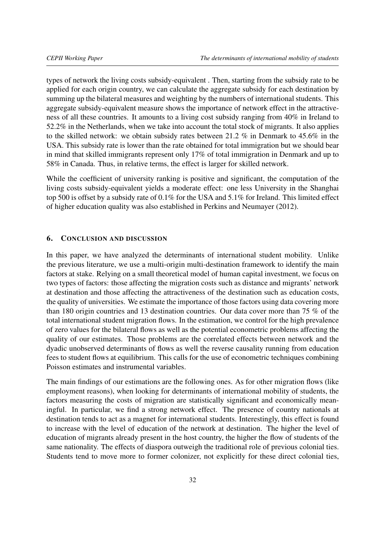types of network the living costs subsidy-equivalent . Then, starting from the subsidy rate to be applied for each origin country, we can calculate the aggregate subsidy for each destination by summing up the bilateral measures and weighting by the numbers of international students. This aggregate subsidy-equivalent measure shows the importance of network effect in the attractiveness of all these countries. It amounts to a living cost subsidy ranging from 40% in Ireland to 52.2% in the Netherlands, when we take into account the total stock of migrants. It also applies to the skilled network: we obtain subsidy rates between 21.2 % in Denmark to 45.6% in the USA. This subsidy rate is lower than the rate obtained for total immigration but we should bear in mind that skilled immigrants represent only 17% of total immigration in Denmark and up to 58% in Canada. Thus, in relative terms, the effect is larger for skilled network.

While the coefficient of university ranking is positive and significant, the computation of the living costs subsidy-equivalent yields a moderate effect: one less University in the Shanghai top 500 is offset by a subsidy rate of 0.1% for the USA and 5.1% for Ireland. This limited effect of higher education quality was also established in [Perkins and Neumayer](#page-35-2) [\(2012\)](#page-35-2).

#### <span id="page-31-0"></span>6. CONCLUSION AND DISCUSSION

In this paper, we have analyzed the determinants of international student mobility. Unlike the previous literature, we use a multi-origin multi-destination framework to identify the main factors at stake. Relying on a small theoretical model of human capital investment, we focus on two types of factors: those affecting the migration costs such as distance and migrants' network at destination and those affecting the attractiveness of the destination such as education costs, the quality of universities. We estimate the importance of those factors using data covering more than 180 origin countries and 13 destination countries. Our data cover more than 75 % of the total international student migration flows. In the estimation, we control for the high prevalence of zero values for the bilateral flows as well as the potential econometric problems affecting the quality of our estimates. Those problems are the correlated effects between network and the dyadic unobserved determinants of flows as well the reverse causality running from education fees to student flows at equilibrium. This calls for the use of econometric techniques combining Poisson estimates and instrumental variables.

The main findings of our estimations are the following ones. As for other migration flows (like employment reasons), when looking for determinants of international mobility of students, the factors measuring the costs of migration are statistically significant and economically meaningful. In particular, we find a strong network effect. The presence of country nationals at destination tends to act as a magnet for international students. Interestingly, this effect is found to increase with the level of education of the network at destination. The higher the level of education of migrants already present in the host country, the higher the flow of students of the same nationality. The effects of diaspora outweigh the traditional role of previous colonial ties. Students tend to move more to former colonizer, not explicitly for these direct colonial ties,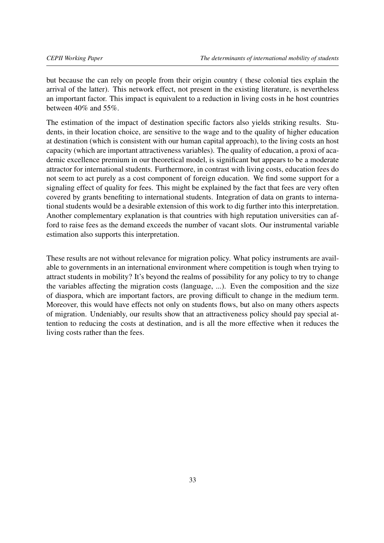but because the can rely on people from their origin country ( these colonial ties explain the arrival of the latter). This network effect, not present in the existing literature, is nevertheless an important factor. This impact is equivalent to a reduction in living costs in he host countries between 40% and 55%.

The estimation of the impact of destination specific factors also yields striking results. Students, in their location choice, are sensitive to the wage and to the quality of higher education at destination (which is consistent with our human capital approach), to the living costs an host capacity (which are important attractiveness variables). The quality of education, a proxi of academic excellence premium in our theoretical model, is significant but appears to be a moderate attractor for international students. Furthermore, in contrast with living costs, education fees do not seem to act purely as a cost component of foreign education. We find some support for a signaling effect of quality for fees. This might be explained by the fact that fees are very often covered by grants benefiting to international students. Integration of data on grants to international students would be a desirable extension of this work to dig further into this interpretation. Another complementary explanation is that countries with high reputation universities can afford to raise fees as the demand exceeds the number of vacant slots. Our instrumental variable estimation also supports this interpretation.

These results are not without relevance for migration policy. What policy instruments are available to governments in an international environment where competition is tough when trying to attract students in mobility? It's beyond the realms of possibility for any policy to try to change the variables affecting the migration costs (language, ...). Even the composition and the size of diaspora, which are important factors, are proving difficult to change in the medium term. Moreover, this would have effects not only on students flows, but also on many others aspects of migration. Undeniably, our results show that an attractiveness policy should pay special attention to reducing the costs at destination, and is all the more effective when it reduces the living costs rather than the fees.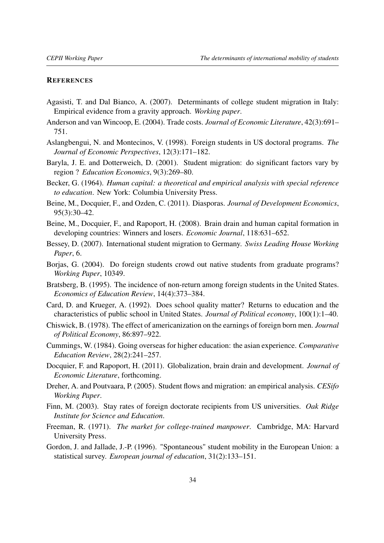#### **REFERENCES**

- <span id="page-33-12"></span>Agasisti, T. and Dal Bianco, A. (2007). Determinants of college student migration in Italy: Empirical evidence from a gravity approach. *Working paper*.
- <span id="page-33-17"></span>Anderson and van Wincoop, E. (2004). Trade costs. *Journal of Economic Literature*, 42(3):691– 751.
- <span id="page-33-9"></span>Aslangbengui, N. and Montecinos, V. (1998). Foreign students in US doctoral programs. *The Journal of Economic Perspectives*, 12(3):171–182.
- <span id="page-33-11"></span>Baryla, J. E. and Dotterweich, D. (2001). Student migration: do significant factors vary by region ? *Education Economics*, 9(3):269–80.
- <span id="page-33-13"></span>Becker, G. (1964). *Human capital: a theoretical and empirical analysis with special reference to education*. New York: Columbia University Press.
- <span id="page-33-4"></span>Beine, M., Docquier, F., and Ozden, C. (2011). Diasporas. *Journal of Development Economics*, 95(3):30–42.
- <span id="page-33-1"></span>Beine, M., Docquier, F., and Rapoport, H. (2008). Brain drain and human capital formation in developing countries: Winners and losers. *Economic Journal*, 118:631–652.
- <span id="page-33-3"></span>Bessey, D. (2007). International student migration to Germany. *Swiss Leading House Working Paper*, 6.
- <span id="page-33-7"></span>Borjas, G. (2004). Do foreign students crowd out native students from graduate programs? *Working Paper*, 10349.
- <span id="page-33-5"></span>Bratsberg, B. (1995). The incidence of non-return among foreign students in the United States. *Economics of Education Review*, 14(4):373–384.
- <span id="page-33-14"></span>Card, D. and Krueger, A. (1992). Does school quality matter? Returns to education and the characteristics of public school in United States. *Journal of Political economy*, 100(1):1–40.
- <span id="page-33-16"></span>Chiswick, B. (1978). The effect of americanization on the earnings of foreign born men. *Journal of Political Economy*, 86:897–922.
- <span id="page-33-10"></span>Cummings, W. (1984). Going overseas for higher education: the asian experience. *Comparative Education Review*, 28(2):241–257.
- <span id="page-33-0"></span>Docquier, F. and Rapoport, H. (2011). Globalization, brain drain and development. *Journal of Economic Literature*, forthcoming.
- <span id="page-33-6"></span>Dreher, A. and Poutvaara, P. (2005). Student flows and migration: an empirical analysis. *CESifo Working Paper*.
- <span id="page-33-2"></span>Finn, M. (2003). Stay rates of foreign doctorate recipients from US universities. *Oak Ridge Institute for Science and Education*.
- <span id="page-33-15"></span>Freeman, R. (1971). *The market for college-trained manpower*. Cambridge, MA: Harvard University Press.
- <span id="page-33-8"></span>Gordon, J. and Jallade, J.-P. (1996). "Spontaneous" student mobility in the European Union: a statistical survey. *European journal of education*, 31(2):133–151.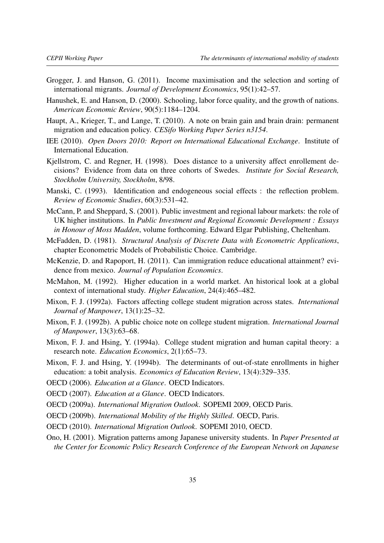- <span id="page-34-3"></span>Grogger, J. and Hanson, G. (2011). Income maximisation and the selection and sorting of international migrants. *Journal of Development Economics*, 95(1):42–57.
- <span id="page-34-2"></span>Hanushek, E. and Hanson, D. (2000). Schooling, labor force quality, and the growth of nations. *American Economic Review*, 90(5):1184–1204.
- <span id="page-34-4"></span>Haupt, A., Krieger, T., and Lange, T. (2010). A note on brain gain and brain drain: permanent migration and education policy. *CESifo Working Paper Series n3154*.
- <span id="page-34-18"></span>IEE (2010). *Open Doors 2010: Report on International Educational Exchange*. Institute of International Education.
- <span id="page-34-8"></span>Kjellstrom, C. and Regner, H. (1998). Does distance to a university affect enrollement decisions? Evidence from data on three cohorts of Swedes. *Institute for Social Research, Stockholm University, Stockholm*, 8/98.
- <span id="page-34-17"></span>Manski, C. (1993). Identification and endogeneous social effects : the reflection problem. *Review of Economic Studies*, 60(3):531–42.
- <span id="page-34-7"></span>McCann, P. and Sheppard, S. (2001). Public investment and regional labour markets: the role of UK higher institutions. In *Public Investment and Regional Economic Development : Essays in Honour of Moss Madden*, volume forthcoming. Edward Elgar Publishing, Cheltenham.
- <span id="page-34-13"></span>McFadden, D. (1981). *Structural Analysis of Discrete Data with Econometric Applications*, chapter Econometric Models of Probabilistic Choice. Cambridge.
- <span id="page-34-14"></span>McKenzie, D. and Rapoport, H. (2011). Can immigration reduce educational attainment? evidence from mexico. *Journal of Population Economics*.
- <span id="page-34-5"></span>McMahon, M. (1992). Higher education in a world market. An historical look at a global context of international study. *Higher Education*, 24(4):465–482.
- <span id="page-34-11"></span>Mixon, F. J. (1992a). Factors affecting college student migration across states. *International Journal of Manpower*, 13(1):25–32.
- <span id="page-34-12"></span>Mixon, F. J. (1992b). A public choice note on college student migration. *International Journal of Manpower*, 13(3):63–68.
- <span id="page-34-9"></span>Mixon, F. J. and Hsing, Y. (1994a). College student migration and human capital theory: a research note. *Education Economics*, 2(1):65–73.
- <span id="page-34-10"></span>Mixon, F. J. and Hsing, Y. (1994b). The determinants of out-of-state enrollments in higher education: a tobit analysis. *Economics of Education Review*, 13(4):329–335.
- <span id="page-34-15"></span>OECD (2006). *Education at a Glance*. OECD Indicators.
- <span id="page-34-16"></span>OECD (2007). *Education at a Glance*. OECD Indicators.
- <span id="page-34-1"></span>OECD (2009a). *International Migration Outlook*. SOPEMI 2009, OECD Paris.
- <span id="page-34-0"></span>OECD (2009b). *International Mobility of the Highly Skilled*. OECD, Paris.
- <span id="page-34-19"></span>OECD (2010). *International Migration Outlook*. SOPEMI 2010, OECD.
- <span id="page-34-6"></span>Ono, H. (2001). Migration patterns among Japanese university students. In *Paper Presented at the Center for Economic Policy Research Conference of the European Network on Japanese*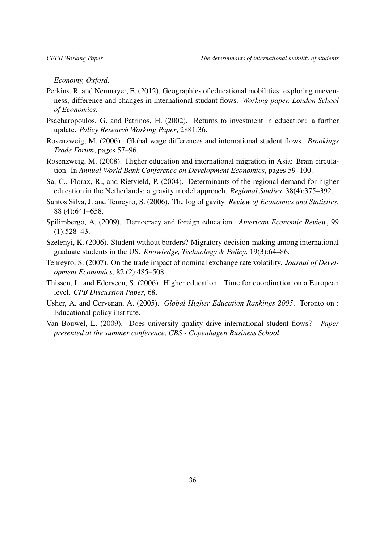*Economy, Oxford*.

- <span id="page-35-2"></span>Perkins, R. and Neumayer, E. (2012). Geographies of educational mobilities: exploring unevenness, difference and changes in international studant flows. *Working paper, London School of Economics*.
- <span id="page-35-8"></span>Psacharopoulos, G. and Patrinos, H. (2002). Returns to investment in education: a further update. *Policy Research Working Paper*, 2881:36.
- <span id="page-35-3"></span>Rosenzweig, M. (2006). Global wage differences and international student flows. *Brookings Trade Forum*, pages 57–96.
- <span id="page-35-1"></span>Rosenzweig, M. (2008). Higher education and international migration in Asia: Brain circulation. In *Annual World Bank Conference on Development Economics*, pages 59–100.
- <span id="page-35-7"></span>Sa, C., Florax, R., and Rietvield, P. (2004). Determinants of the regional demand for higher education in the Netherlands: a gravity model approach. *Regional Studies*, 38(4):375–392.
- <span id="page-35-10"></span>Santos Silva, J. and Tenreyro, S. (2006). The log of gavity. *Review of Economics and Statistics*, 88 (4):641–658.
- <span id="page-35-0"></span>Spilimbergo, A. (2009). Democracy and foreign education. *American Economic Review*, 99  $(1):$ 528–43.
- <span id="page-35-4"></span>Szelenyi, K. (2006). Student without borders? Migratory decision-making among international graduate students in the US. *Knowledge, Technology & Policy*, 19(3):64–86.
- <span id="page-35-11"></span>Tenreyro, S. (2007). On the trade impact of nominal exchange rate volatility. *Journal of Development Economics*, 82 (2):485–508.
- <span id="page-35-6"></span>Thissen, L. and Ederveen, S. (2006). Higher education : Time for coordination on a European level. *CPB Discussion Paper*, 68.
- <span id="page-35-9"></span>Usher, A. and Cervenan, A. (2005). *Global Higher Education Rankings 2005*. Toronto on : Educational policy institute.
- <span id="page-35-5"></span>Van Bouwel, L. (2009). Does university quality drive international student flows? *Paper presented at the summer conference, CBS - Copenhagen Business School*.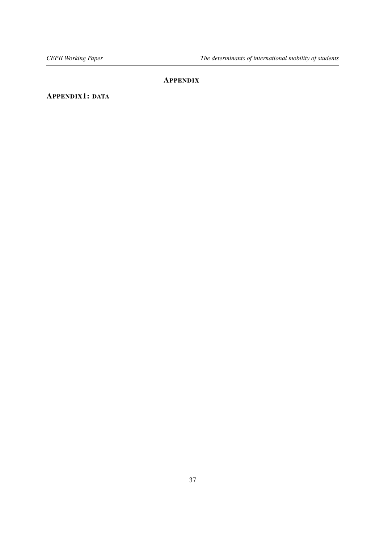# APPENDIX

<span id="page-36-0"></span>APPENDIX1: DATA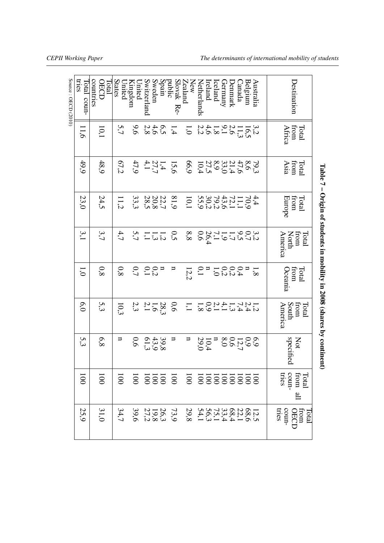|                                                             | Table 7 – Origin of students in mobility in 2008 (shares by continent) | 1682883564<br>28283564<br>29144131<br>31,0<br>34,7<br>39,6<br>$\begin{array}{c}\n 73.9 \\  26.3 \\  27.2\n \end{array}$<br>29,8<br>coun-<br>tries<br>Total<br>from<br>OECD | coun-<br>tries<br>Total<br>from<br>88888888888888<br>$\overline{5}$<br>$\overline{5}$<br>$\mathbb{I}^2$ | $\overline{\phantom{0}}$<br>$304.3$<br>$40.3$<br>$40.3$<br>specified<br>6,8<br>□<br>$\overline{a}$<br>Not<br>0,6<br>$\frac{10.4}{29.0}$<br>$\overline{a}$ | 5,3<br>28,3<br>2,1<br>South<br>2,3<br>$1,6$<br>$2,1$<br>$\frac{1}{4}$ $\frac{1}{4}$ $\frac{4}{1}$<br>2,4<br>America<br><b>Total</b><br>from<br>6.6<br>0,9<br>10,3<br>1, 1<br>1,8 | 0,8<br>0,8<br>${\rm from}$<br>0,7<br>0.2<br>$\overline{a}$<br>゠<br>0,1<br>$\overline{a}$<br>$\overline{a}$<br>0,2<br>0,2<br>0,4<br>Total<br>Oceania<br>12,2<br>1,0<br>1,8 | 3,7<br>4,7<br>5,7<br>8,8<br>0.6<br>26,4<br>3091191<br>0.5<br>North<br>from<br>America<br>$\frac{1}{3}$ $\frac{1}{3}$<br>Total | 24,5<br>33,3<br>$\frac{22.7}{28.5}$<br>81,9<br>$444$<br>$3011743000$<br>$30000$<br>$30000$<br>$3000$<br>$10,1\,$<br><b>Europe</b><br>from<br>Total<br>11,2 | 48,9<br>$47.83321.33922.7510.410.4$<br>$\frac{79.3}{8.6}$<br>67,2<br>$\begin{array}{c} 1,4 \\ 27,7 \\ 4,7 \end{array}$<br>47,9<br>66,9<br>from<br>Asia<br>Total<br>15,6 | 5,7<br>9,6<br>2,8<br>6, 5<br>2,2<br>${\rm from}$<br>Africa<br>Total<br>10,1<br>$\overline{1}$<br>$\overline{1,4}$ | Switzerland<br>Sweden<br>Spain<br>Slovak<br>Destination<br><b>States</b><br>public<br><b>New</b><br>Zealand<br>Netherlands<br>Belgium<br>Australia<br>OBCD<br><b>Iotal</b><br>Kingdom<br>Germany<br>reland<br>lceland<br><b>Denmark</b><br>Canada<br>United<br>United<br>ke- |
|-------------------------------------------------------------|------------------------------------------------------------------------|----------------------------------------------------------------------------------------------------------------------------------------------------------------------------|---------------------------------------------------------------------------------------------------------|-----------------------------------------------------------------------------------------------------------------------------------------------------------|----------------------------------------------------------------------------------------------------------------------------------------------------------------------------------|---------------------------------------------------------------------------------------------------------------------------------------------------------------------------|-------------------------------------------------------------------------------------------------------------------------------|------------------------------------------------------------------------------------------------------------------------------------------------------------|-------------------------------------------------------------------------------------------------------------------------------------------------------------------------|-------------------------------------------------------------------------------------------------------------------|------------------------------------------------------------------------------------------------------------------------------------------------------------------------------------------------------------------------------------------------------------------------------|
| 49,9<br>23,0<br>3,1<br>6,0<br>5,3<br>$\overline{5}$<br>25,9 |                                                                        |                                                                                                                                                                            |                                                                                                         |                                                                                                                                                           |                                                                                                                                                                                  |                                                                                                                                                                           |                                                                                                                               |                                                                                                                                                            |                                                                                                                                                                         |                                                                                                                   | countries<br>Fotal coun-                                                                                                                                                                                                                                                     |
|                                                             |                                                                        |                                                                                                                                                                            |                                                                                                         |                                                                                                                                                           |                                                                                                                                                                                  |                                                                                                                                                                           |                                                                                                                               |                                                                                                                                                            |                                                                                                                                                                         |                                                                                                                   |                                                                                                                                                                                                                                                                              |
|                                                             |                                                                        |                                                                                                                                                                            |                                                                                                         |                                                                                                                                                           |                                                                                                                                                                                  |                                                                                                                                                                           |                                                                                                                               |                                                                                                                                                            |                                                                                                                                                                         |                                                                                                                   |                                                                                                                                                                                                                                                                              |
|                                                             |                                                                        |                                                                                                                                                                            |                                                                                                         |                                                                                                                                                           |                                                                                                                                                                                  |                                                                                                                                                                           |                                                                                                                               |                                                                                                                                                            |                                                                                                                                                                         |                                                                                                                   |                                                                                                                                                                                                                                                                              |
|                                                             |                                                                        |                                                                                                                                                                            |                                                                                                         |                                                                                                                                                           |                                                                                                                                                                                  |                                                                                                                                                                           |                                                                                                                               |                                                                                                                                                            |                                                                                                                                                                         |                                                                                                                   |                                                                                                                                                                                                                                                                              |
|                                                             |                                                                        |                                                                                                                                                                            |                                                                                                         |                                                                                                                                                           |                                                                                                                                                                                  |                                                                                                                                                                           |                                                                                                                               |                                                                                                                                                            |                                                                                                                                                                         |                                                                                                                   |                                                                                                                                                                                                                                                                              |

<span id="page-37-0"></span>

*CEPII Working Paper The determinants of international mobility of students*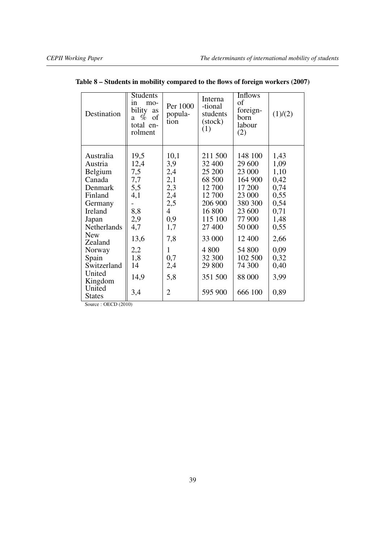| Destination                                                                                                                                                                                             | <b>Students</b><br>mo-<br>1n<br>bility as<br>$a \n\%$<br>of<br>total en-<br>rolment                      | Per 1000<br>popula-<br>tion                                                                                                       | Interna<br>-tional<br>students<br>(stock)<br>(1)                                                                                                                 | <b>Inflows</b><br>of<br>foreign-<br>born<br>labour<br>(2)                                                                                                         | (1)/(2)                                                                                                                      |
|---------------------------------------------------------------------------------------------------------------------------------------------------------------------------------------------------------|----------------------------------------------------------------------------------------------------------|-----------------------------------------------------------------------------------------------------------------------------------|------------------------------------------------------------------------------------------------------------------------------------------------------------------|-------------------------------------------------------------------------------------------------------------------------------------------------------------------|------------------------------------------------------------------------------------------------------------------------------|
| Australia<br>Austria<br>Belgium<br>Canada<br>Denmark<br>Finland<br>Germany<br>Ireland<br>Japan<br>Netherlands<br><b>New</b><br>Zealand<br>Norway<br>Spain<br>Switzerland<br>United<br>Kingdom<br>United | 19,5<br>12,4<br>7,5<br>7,7<br>5,5<br>4,1<br>8,8<br>2,9<br>4,7<br>13,6<br>2,2<br>1,8<br>14<br>14,9<br>3,4 | 10,1<br>3,9<br>2,4<br>2,1<br>2,3<br>2,4<br>2,5<br>$\overline{4}$<br>0,9<br>1,7<br>7,8<br>1<br>0,7<br>2,4<br>5,8<br>$\overline{2}$ | 211 500<br>32 400<br>25 200<br>68 500<br>12 700<br>12 700<br>206 900<br>16 800<br>115 100<br>27 400<br>33 000<br>4 800<br>32 300<br>29 800<br>351 500<br>595 900 | 148 100<br>29 600<br>23 000<br>164 900<br>17 200<br>23 000<br>380 300<br>23 600<br>77 900<br>50 000<br>12 400<br>54 800<br>102 500<br>74 300<br>88 000<br>666 100 | 1,43<br>1,09<br>1,10<br>0,42<br>0,74<br>0,55<br>0,54<br>0,71<br>1,48<br>0,55<br>2,66<br>0,09<br>0,32<br>0,40<br>3,99<br>0,89 |
| <b>States</b><br>$S_{\text{oubas}}$ , $\triangle ECD$ (2010)                                                                                                                                            |                                                                                                          |                                                                                                                                   |                                                                                                                                                                  |                                                                                                                                                                   |                                                                                                                              |

<span id="page-38-0"></span>Table 8 – Students in mobility compared to the flows of foreign workers (2007)

Source : [OECD](#page-34-19) [\(2010\)](#page-34-19)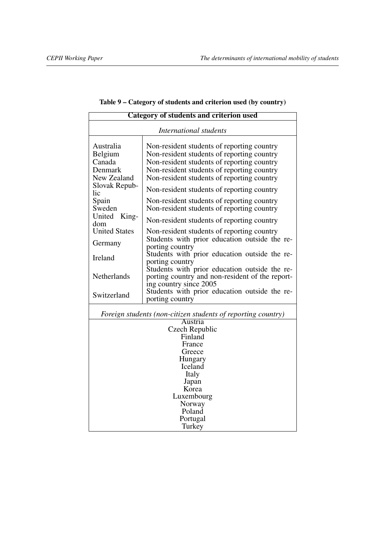<span id="page-39-0"></span>

| <b>Category of students and criterion used</b>               |                                                                                                  |  |  |  |
|--------------------------------------------------------------|--------------------------------------------------------------------------------------------------|--|--|--|
| International students                                       |                                                                                                  |  |  |  |
|                                                              |                                                                                                  |  |  |  |
| Australia                                                    | Non-resident students of reporting country                                                       |  |  |  |
| Belgium                                                      | Non-resident students of reporting country                                                       |  |  |  |
| Canada                                                       | Non-resident students of reporting country                                                       |  |  |  |
| Denmark                                                      | Non-resident students of reporting country                                                       |  |  |  |
| New Zealand                                                  | Non-resident students of reporting country                                                       |  |  |  |
| Slovak Repub-<br>lic                                         | Non-resident students of reporting country                                                       |  |  |  |
| Spain                                                        | Non-resident students of reporting country                                                       |  |  |  |
| Sweden                                                       | Non-resident students of reporting country                                                       |  |  |  |
| United King-<br>dom                                          | Non-resident students of reporting country                                                       |  |  |  |
| <b>United States</b>                                         | Non-resident students of reporting country                                                       |  |  |  |
| Germany                                                      | Students with prior education outside the re-<br>porting country                                 |  |  |  |
| Ireland                                                      | Students with prior education outside the re-<br>porting country                                 |  |  |  |
| <b>Netherlands</b>                                           | Students with prior education outside the re-<br>porting country and non-resident of the report- |  |  |  |
| Switzerland                                                  | ing country since 2005<br>Students with prior education outside the re-<br>porting country       |  |  |  |
|                                                              |                                                                                                  |  |  |  |
| Foreign students (non-citizen students of reporting country) |                                                                                                  |  |  |  |
|                                                              | Austria                                                                                          |  |  |  |
| Czech Republic                                               |                                                                                                  |  |  |  |
| Finland                                                      |                                                                                                  |  |  |  |
| France                                                       |                                                                                                  |  |  |  |
| Greece                                                       |                                                                                                  |  |  |  |
|                                                              | Hungary<br>Iceland                                                                               |  |  |  |
|                                                              | Italy                                                                                            |  |  |  |
|                                                              | Japan                                                                                            |  |  |  |
|                                                              | Korea                                                                                            |  |  |  |
|                                                              | Luxembourg                                                                                       |  |  |  |
|                                                              | Norway                                                                                           |  |  |  |
|                                                              | Poland                                                                                           |  |  |  |

Portugal Turkey

# Table 9 – Category of students and criterion used (by country)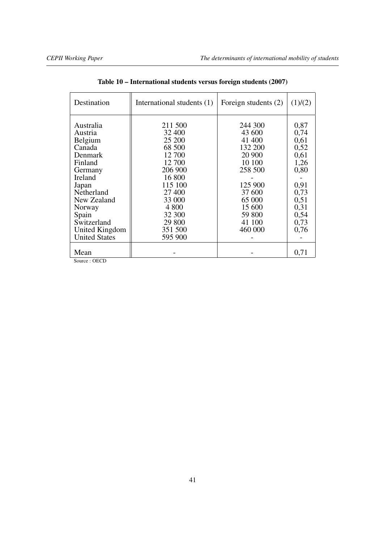<span id="page-40-0"></span>

| Destination                                                                                                                                                                                             | International students (1)                                                                                                                                       | Foreign students (2)                                                                                                                          | (1)/(2)                                                                                                      |
|---------------------------------------------------------------------------------------------------------------------------------------------------------------------------------------------------------|------------------------------------------------------------------------------------------------------------------------------------------------------------------|-----------------------------------------------------------------------------------------------------------------------------------------------|--------------------------------------------------------------------------------------------------------------|
| Australia<br>Austria<br>Belgium<br>Canada<br>Denmark<br>Finland<br>Germany<br>Ireland<br>Japan<br>Netherland<br>New Zealand<br>Norway<br>Spain<br>Switzerland<br>United Kingdom<br><b>United States</b> | 211 500<br>32 400<br>25 200<br>68 500<br>12 700<br>12 700<br>206 900<br>16 800<br>115 100<br>27 400<br>33 000<br>4 800<br>32 300<br>29 800<br>351 500<br>595 900 | 244 300<br>43 600<br>41 400<br>132 200<br>20 900<br>10 100<br>258 500<br>125 900<br>37 600<br>65 000<br>15 600<br>59 800<br>41 100<br>460 000 | 0,87<br>0,74<br>0,61<br>0,52<br>0,61<br>1,26<br>0,80<br>0,91<br>0,73<br>0,51<br>0,31<br>0,54<br>0,73<br>0,76 |
| Mean<br>$\alpha$ pan                                                                                                                                                                                    |                                                                                                                                                                  |                                                                                                                                               | 0,71                                                                                                         |

Table 10 – International students versus foreign students (2007)

Source : OECD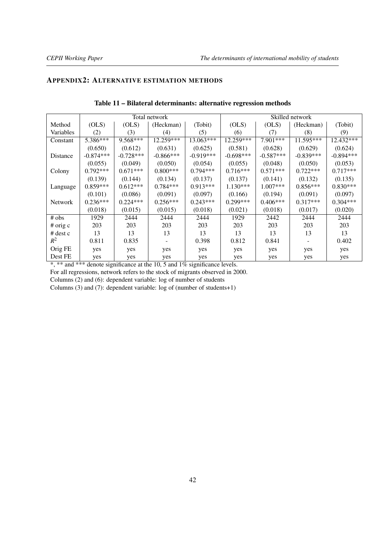## APPENDIX2: ALTERNATIVE ESTIMATION METHODS

|            | Total network |             |              |             | Skilled network |             |             |             |
|------------|---------------|-------------|--------------|-------------|-----------------|-------------|-------------|-------------|
| Method     | (OLS)         | (OLS)       | (Heckman)    | (Tobit)     | (OLS)           | (OLS)       | (Heckman)   | (Tobit)     |
| Variables  | (2)           | (3)         | (4)          | (5)         | (6)             | (7)         | (8)         | (9)         |
| Constant   | 5.386***      | 9.568***    | 12.259***    | 13.063***   | 12.259***       | 7.901***    | $11.595***$ | 12.432***   |
|            | (0.650)       | (0.612)     | (0.631)      | (0.625)     | (0.581)         | (0.628)     | (0.629)     | (0.624)     |
| Distance   | $-0.874***$   | $-0.728***$ | $-0.866$ *** | $-0.919***$ | $-0.698***$     | $-0.587***$ | $-0.839***$ | $-0.894***$ |
|            | (0.055)       | (0.049)     | (0.050)      | (0.054)     | (0.055)         | (0.048)     | (0.050)     | (0.053)     |
| Colony     | $0.792***$    | $0.671***$  | $0.800***$   | $0.794***$  | $0.716***$      | $0.571***$  | $0.722***$  | $0.717***$  |
|            | (0.139)       | (0.144)     | (0.134)      | (0.137)     | (0.137)         | (0.141)     | (0.132)     | (0.135)     |
| Language   | $0.859***$    | $0.612***$  | $0.784***$   | $0.913***$  | $1.130***$      | $1.007***$  | $0.856***$  | $0.830***$  |
|            | (0.101)       | (0.086)     | (0.091)      | (0.097)     | (0.166)         | (0.194)     | (0.091)     | (0.097)     |
| Network    | $0.236***$    | $0.224***$  | $0.256***$   | $0.243***$  | $0.299***$      | $0.406***$  | $0.317***$  | $0.304***$  |
|            | (0.018)       | (0.015)     | (0.015)      | (0.018)     | (0.021)         | (0.018)     | (0.017)     | (0.020)     |
| # obs      | 1929          | 2444        | 2444         | 2444        | 1929            | 2442        | 2444        | 2444        |
| $#$ orig c | 203           | 203         | 203          | 203         | 203             | 203         | 203         | 203         |
| $#$ dest c | 13            | 13          | 13           | 13          | 13              | 13          | 13          | 13          |
| $R^2$      | 0.811         | 0.835       |              | 0.398       | 0.812           | 0.841       |             | 0.402       |
| Orig FE    | yes           | yes         | yes          | yes         | yes             | yes         | yes         | yes         |
| Dest FE    | yes           | yes         | yes          | yes         | yes             | yes         | yes         | yes         |

Table 11 – Bilateral determinants: alternative regression methods

\*, \*\* and \*\*\* denote significance at the 10, 5 and 1% significance levels.

For all regressions, network refers to the stock of migrants observed in 2000.

Columns (2) and (6): dependent variable: log of number of students

Columns (3) and (7): dependent variable: log of (number of students+1)